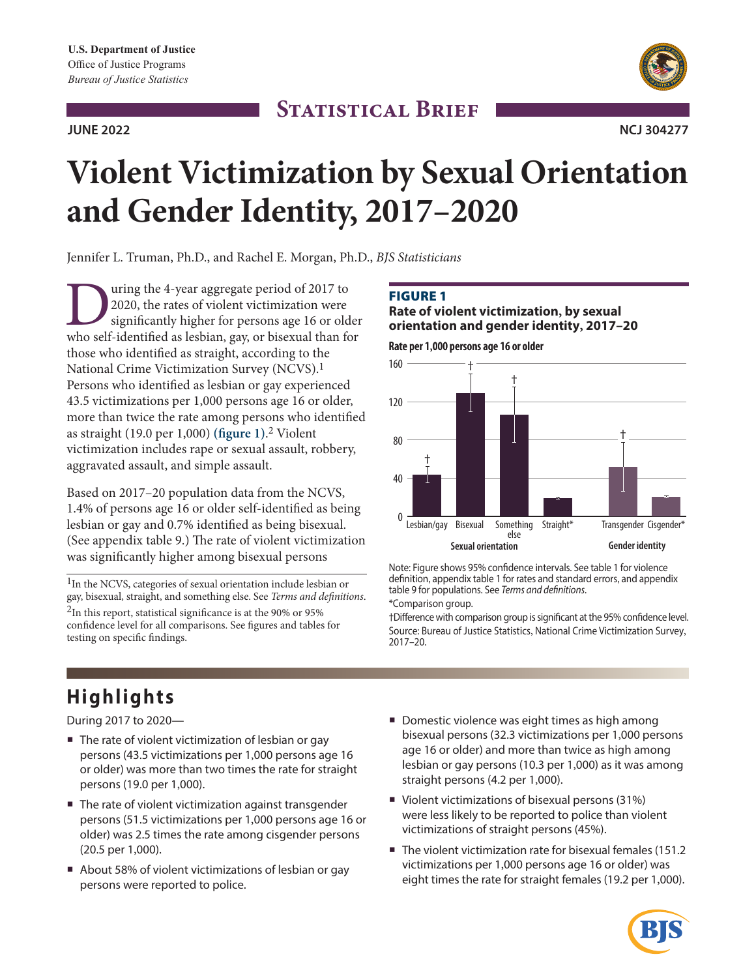**JUNE 2022**

## **STATISTICAL BRIEF**



**NCJ 304277**

# **Violent Victimization by Sexual Orientation and Gender Identity, 2017–2020**

Jennifer L. Truman, Ph.D., and Rachel E. Morgan, Ph.D., *BJS Statisticians*

Using the 4-year aggregate period of 2017 to<br>2020, the rates of violent victimization were<br>significantly higher for persons age 16 or old<br>who self-identified as lesbian, gay, or bisexual than fo 2020, the rates of violent victimization were significantly higher for persons age 16 or older who self-identified as lesbian, gay, or bisexual than for those who identified as straight, according to the National Crime Victimization Survey (NCVS).1 Persons who identified as lesbian or gay experienced 43.5 victimizations per 1,000 persons age 16 or older, more than twice the rate among persons who identified as straight (19.0 per 1,000) **(figure 1)**. 2 Violent victimization includes rape or sexual assault, robbery, aggravated assault, and simple assault.

Based on 2017–20 population data from the NCVS, 1.4% of persons age 16 or older self-identified as being lesbian or gay and 0.7% identified as being bisexual. (See appendix table 9.) The rate of violent victimization was significantly higher among bisexual persons

<sup>1</sup>In the NCVS, categories of sexual orientation include lesbian or gay, bisexual, straight, and something else. See *Terms and definitions*. <sup>2</sup>In this report, statistical significance is at the 90% or 95% confidence level for all comparisons. See figures and tables for testing on specific findings.

#### **FIGURE 1**

#### **Rate of violent victimization, by sexual orientation and gender identity, 2017–20**



Note: Figure shows 95% confidence intervals. See table 1 for violence definition, appendix table 1 for rates and standard errors, and appendix table 9 for populations. See *Terms and definitions*.

\*Comparison group.

†Difference with comparison group is significant at the 95% confidence level. Source: Bureau of Justice Statistics, National Crime Victimization Survey, 2017–20.

## **Highlights**

During 2017 to 2020—

- The rate of violent victimization of lesbian or gay persons (43.5 victimizations per 1,000 persons age 16 or older) was more than two times the rate for straight persons (19.0 per 1,000).
- The rate of violent victimization against transgender persons (51.5 victimizations per 1,000 persons age 16 or older) was 2.5 times the rate among cisgender persons (20.5 per 1,000).
- About 58% of violent victimizations of lesbian or gay persons were reported to police.
- Domestic violence was eight times as high among bisexual persons (32.3 victimizations per 1,000 persons age 16 or older) and more than twice as high among lesbian or gay persons (10.3 per 1,000) as it was among straight persons (4.2 per 1,000).
- Violent victimizations of bisexual persons (31%) were less likely to be reported to police than violent victimizations of straight persons (45%).
- The violent victimization rate for bisexual females (151.2 victimizations per 1,000 persons age 16 or older) was eight times the rate for straight females (19.2 per 1,000).

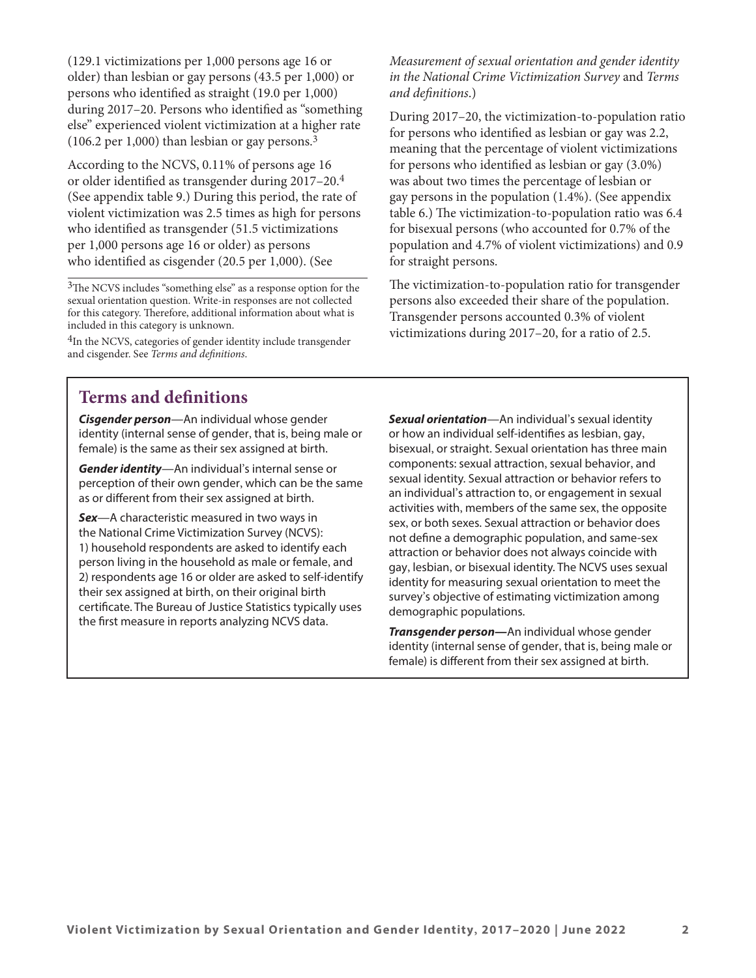(129.1 victimizations per 1,000 persons age 16 or older) than lesbian or gay persons (43.5 per 1,000) or persons who identified as straight (19.0 per 1,000) during 2017–20. Persons who identified as "something else" experienced violent victimization at a higher rate  $(106.2 \text{ per } 1,000)$  than lesbian or gay persons.<sup>3</sup>

According to the NCVS, 0.11% of persons age 16 or older identified as transgender during 2017–20.4 (See appendix table 9.) During this period, the rate of violent victimization was 2.5 times as high for persons who identified as transgender (51.5 victimizations per 1,000 persons age 16 or older) as persons who identified as cisgender (20.5 per 1,000). (See

<sup>3</sup>The NCVS includes "something else" as a response option for the sexual orientation question. Write-in responses are not collected for this category. Therefore, additional information about what is included in this category is unknown.

<sup>4</sup>In the NCVS, categories of gender identity include transgender and cisgender. See *Terms and definitions*.

#### *Measurement of sexual orientation and gender identity in the National Crime Victimization Survey* and *Terms and definitions*.)

During 2017–20, the victimization-to-population ratio for persons who identified as lesbian or gay was 2.2, meaning that the percentage of violent victimizations for persons who identified as lesbian or gay (3.0%) was about two times the percentage of lesbian or gay persons in the population (1.4%). (See appendix table 6.) The victimization-to-population ratio was 6.4 for bisexual persons (who accounted for 0.7% of the population and 4.7% of violent victimizations) and 0.9 for straight persons.

The victimization-to-population ratio for transgender persons also exceeded their share of the population. Transgender persons accounted 0.3% of violent victimizations during 2017–20, for a ratio of 2.5.

### **Terms and definitions**

*Cisgender person*—An individual whose gender identity (internal sense of gender, that is, being male or female) is the same as their sex assigned at birth.

*Gender identity*—An individual's internal sense or perception of their own gender, which can be the same as or different from their sex assigned at birth.

*Sex*—A characteristic measured in two ways in the National Crime Victimization Survey (NCVS): 1) household respondents are asked to identify each person living in the household as male or female, and 2) respondents age 16 or older are asked to self-identify their sex assigned at birth, on their original birth certificate. The Bureau of Justice Statistics typically uses the first measure in reports analyzing NCVS data.

*Sexual orientation*—An individual's sexual identity or how an individual self-identifies as lesbian, gay, bisexual, or straight. Sexual orientation has three main components: sexual attraction, sexual behavior, and sexual identity. Sexual attraction or behavior refers to an individual's attraction to, or engagement in sexual activities with, members of the same sex, the opposite sex, or both sexes. Sexual attraction or behavior does not define a demographic population, and same-sex attraction or behavior does not always coincide with gay, lesbian, or bisexual identity. The NCVS uses sexual identity for measuring sexual orientation to meet the survey's objective of estimating victimization among demographic populations.

*Transgender person—*An individual whose gender identity (internal sense of gender, that is, being male or female) is different from their sex assigned at birth.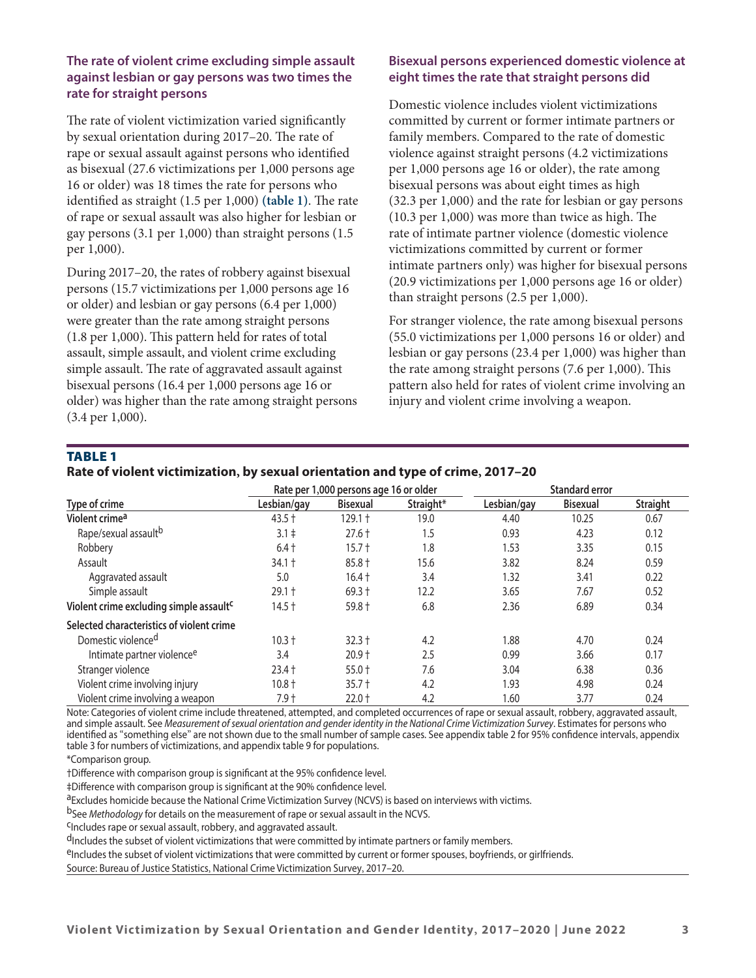#### **The rate of violent crime excluding simple assault against lesbian or gay persons was two times the rate for straight persons**

The rate of violent victimization varied significantly by sexual orientation during 2017–20. The rate of rape or sexual assault against persons who identified as bisexual (27.6 victimizations per 1,000 persons age 16 or older) was 18 times the rate for persons who identified as straight (1.5 per 1,000) **(table 1)**. The rate of rape or sexual assault was also higher for lesbian or gay persons (3.1 per 1,000) than straight persons (1.5 per 1,000).

During 2017–20, the rates of robbery against bisexual persons (15.7 victimizations per 1,000 persons age 16 or older) and lesbian or gay persons (6.4 per 1,000) were greater than the rate among straight persons (1.8 per 1,000). This pattern held for rates of total assault, simple assault, and violent crime excluding simple assault. The rate of aggravated assault against bisexual persons (16.4 per 1,000 persons age 16 or older) was higher than the rate among straight persons (3.4 per 1,000).

#### **Bisexual persons experienced domestic violence at eight times the rate that straight persons did**

Domestic violence includes violent victimizations committed by current or former intimate partners or family members. Compared to the rate of domestic violence against straight persons (4.2 victimizations per 1,000 persons age 16 or older), the rate among bisexual persons was about eight times as high (32.3 per 1,000) and the rate for lesbian or gay persons (10.3 per 1,000) was more than twice as high. The rate of intimate partner violence (domestic violence victimizations committed by current or former intimate partners only) was higher for bisexual persons (20.9 victimizations per 1,000 persons age 16 or older) than straight persons (2.5 per 1,000).

For stranger violence, the rate among bisexual persons (55.0 victimizations per 1,000 persons 16 or older) and lesbian or gay persons (23.4 per 1,000) was higher than the rate among straight persons (7.6 per 1,000). This pattern also held for rates of violent crime involving an injury and violent crime involving a weapon.

#### **TABLE 1**

| Rate of violent victimization, by sexual orientation and type of crime, 2017-20 |  |  |
|---------------------------------------------------------------------------------|--|--|
|---------------------------------------------------------------------------------|--|--|

|                                                     |             | Rate per 1,000 persons age 16 or older |           | <b>Standard error</b> |                 |                 |  |
|-----------------------------------------------------|-------------|----------------------------------------|-----------|-----------------------|-----------------|-----------------|--|
| Type of crime                                       | Lesbian/gay | <b>Bisexual</b>                        | Straight* | Lesbian/gay           | <b>Bisexual</b> | <b>Straight</b> |  |
| Violent crime <sup>a</sup>                          | $43.5 +$    | $129.1 +$                              | 19.0      | 4.40                  | 10.25           | 0.67            |  |
| Rape/sexual assault <sup>b</sup>                    | $3.1 \pm$   | $27.6 +$                               | 1.5       | 0.93                  | 4.23            | 0.12            |  |
| Robbery                                             | $6.4 +$     | $15.7 +$                               | 1.8       | 1.53                  | 3.35            | 0.15            |  |
| Assault                                             | $34.1 +$    | $85.8 +$                               | 15.6      | 3.82                  | 8.24            | 0.59            |  |
| Aggravated assault                                  | 5.0         | $16.4 +$                               | 3.4       | 1.32                  | 3.41            | 0.22            |  |
| Simple assault                                      | $29.1 +$    | $69.3 +$                               | 12.2      | 3.65                  | 7.67            | 0.52            |  |
| Violent crime excluding simple assault <sup>c</sup> | $14.5 +$    | $59.8 +$                               | 6.8       | 2.36                  | 6.89            | 0.34            |  |
| Selected characteristics of violent crime           |             |                                        |           |                       |                 |                 |  |
| Domestic violence <sup>d</sup>                      | $10.3 +$    | $32.3 +$                               | 4.2       | 1.88                  | 4.70            | 0.24            |  |
| Intimate partner violence <sup>e</sup>              | 3.4         | $20.9 +$                               | 2.5       | 0.99                  | 3.66            | 0.17            |  |
| Stranger violence                                   | $23.4 +$    | $55.0 +$                               | 7.6       | 3.04                  | 6.38            | 0.36            |  |
| Violent crime involving injury                      | $10.8 +$    | $35.7 +$                               | 4.2       | 1.93                  | 4.98            | 0.24            |  |
| Violent crime involving a weapon                    | $7.9+$      | $22.0 +$                               | 4.2       | 1.60                  | 3.77            | 0.24            |  |

Note: Categories of violent crime include threatened, attempted, and completed occurrences of rape or sexual assault, robbery, aggravated assault, and simple assault. See *Measurement of sexual orientation and gender identity in the National Crime Victimization Survey*. Estimates for persons who identified as "something else" are not shown due to the small number of sample cases. See appendix table 2 for 95% confidence intervals, appendix table 3 for numbers of victimizations, and appendix table 9 for populations.

\*Comparison group.

†Difference with comparison group is significant at the 95% confidence level.

‡Difference with comparison group is significant at the 90% confidence level.

aExcludes homicide because the National Crime Victimization Survey (NCVS) is based on interviews with victims.

bSee *Methodology* for details on the measurement of rape or sexual assault in the NCVS.

cIncludes rape or sexual assault, robbery, and aggravated assault.

dIncludes the subset of violent victimizations that were committed by intimate partners or family members.

eIncludes the subset of violent victimizations that were committed by current or former spouses, boyfriends, or girlfriends.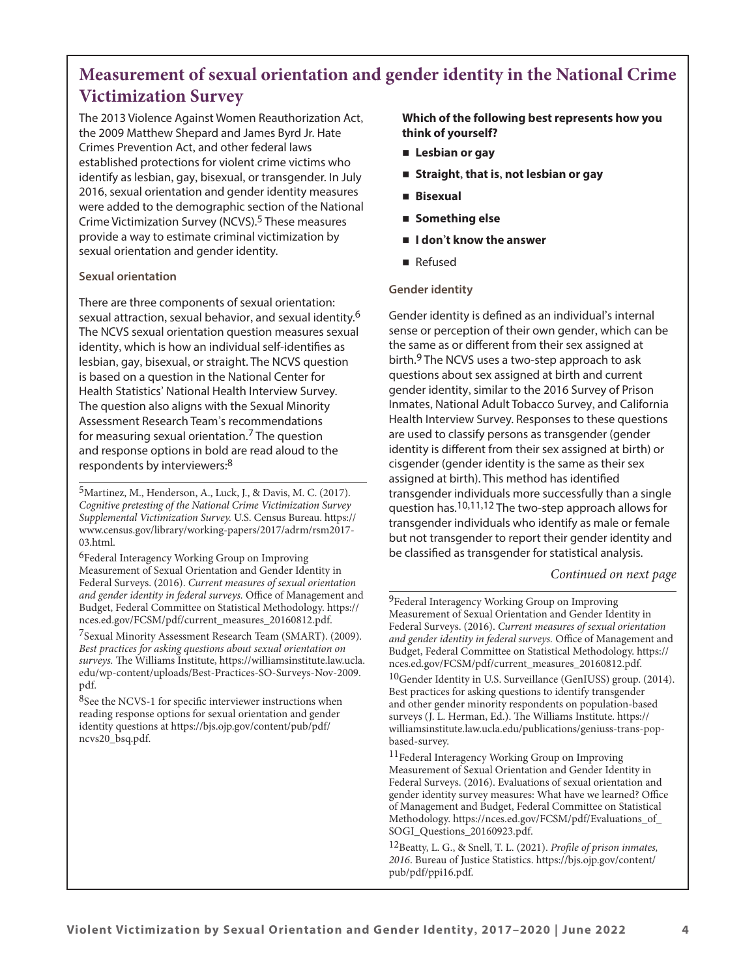## **Measurement of sexual orientation and gender identity in the National Crime Victimization Survey**

The 2013 Violence Against Women Reauthorization Act, the 2009 Matthew Shepard and James Byrd Jr. Hate Crimes Prevention Act, and other federal laws established protections for violent crime victims who identify as lesbian, gay, bisexual, or transgender. In July 2016, sexual orientation and gender identity measures were added to the demographic section of the National Crime Victimization Survey (NCVS).<sup>5</sup> These measures provide a way to estimate criminal victimization by sexual orientation and gender identity.

#### **Sexual orientation**

There are three components of sexual orientation: sexual attraction, sexual behavior, and sexual identity.6 The NCVS sexual orientation question measures sexual identity, which is how an individual self-identifies as lesbian, gay, bisexual, or straight. The NCVS question is based on a question in the National Center for Health Statistics' National Health Interview Survey. The question also aligns with the Sexual Minority Assessment Research Team's recommendations for measuring sexual orientation.7 The question and response options in bold are read aloud to the respondents by interviewers:8

5Martinez, M., Henderson, A., Luck, J., & Davis, M. C. (2017). *Cognitive pretesting of the National Crime Victimization Survey Supplemental Victimization Survey.* U.S. Census Bureau. https:// www.census.gov/library/working-papers/2017/adrm/rsm2017- 03.html.

6Federal Interagency Working Group on Improving Measurement of Sexual Orientation and Gender Identity in Federal Surveys. (2016). *Current measures of sexual orientation and gender identity in federal surveys.* Office of Management and Budget, Federal Committee on Statistical Methodology. https:// nces.ed.gov/FCSM/pdf/current\_measures\_20160812.pdf.

7Sexual Minority Assessment Research Team (SMART). (2009). *Best practices for asking questions about sexual orientation on surveys.* The Williams Institute, https://williamsinstitute.law.ucla. edu/wp-content/uploads/Best-Practices-SO-Surveys-Nov-2009. pdf.

<sup>8</sup>See the NCVS-1 for specific interviewer instructions when reading response options for sexual orientation and gender identity questions at https://bjs.ojp.gov/content/pub/pdf/ ncvs20\_bsq.pdf.

**Which of the following best represents how you think of yourself?**

- **Lesbian or gay**
- **Straight, that is, not lesbian or gay**
- **Bisexual**
- **Something else**
- **I** don't know the answer
- **Refused**

#### **Gender identity**

Gender identity is defined as an individual's internal sense or perception of their own gender, which can be the same as or different from their sex assigned at birth.<sup>9</sup> The NCVS uses a two-step approach to ask questions about sex assigned at birth and current gender identity, similar to the 2016 Survey of Prison Inmates, National Adult Tobacco Survey, and California Health Interview Survey. Responses to these questions are used to classify persons as transgender (gender identity is different from their sex assigned at birth) or cisgender (gender identity is the same as their sex assigned at birth). This method has identified transgender individuals more successfully than a single question has.10,11,12 The two-step approach allows for transgender individuals who identify as male or female but not transgender to report their gender identity and be classified as transgender for statistical analysis.

*Continued on next page*

9Federal Interagency Working Group on Improving Measurement of Sexual Orientation and Gender Identity in Federal Surveys. (2016). *Current measures of sexual orientation and gender identity in federal surveys.* Office of Management and Budget, Federal Committee on Statistical Methodology. https:// nces.ed.gov/FCSM/pdf/current\_measures\_20160812.pdf.

<sup>10</sup>Gender Identity in U.S. Surveillance (GenIUSS) group. (2014). Best practices for asking questions to identify transgender and other gender minority respondents on population-based surveys (J. L. Herman, Ed.). The Williams Institute. [https://](https://williamsinstitute.law.ucla.edu/publications/geniuss-trans-pop-based-survey/) [williamsinstitute.law.ucla.edu/publications/geniuss-trans-pop](https://williamsinstitute.law.ucla.edu/publications/geniuss-trans-pop-based-survey/)[based-survey.](https://williamsinstitute.law.ucla.edu/publications/geniuss-trans-pop-based-survey/)

<sup>11</sup>Federal Interagency Working Group on Improving Measurement of Sexual Orientation and Gender Identity in Federal Surveys. (2016). Evaluations of sexual orientation and gender identity survey measures: What have we learned? Office of Management and Budget, Federal Committee on Statistical Methodology. https://nces.ed.gov/FCSM/pdf/Evaluations\_of\_ SOGI\_Questions\_20160923.pdf.

12Beatty, L. G., & Snell, T. L. (2021). *Profile of prison inmates, 2016*. Bureau of Justice Statistics. https://bjs.ojp.gov/content/ pub/pdf/ppi16.pdf.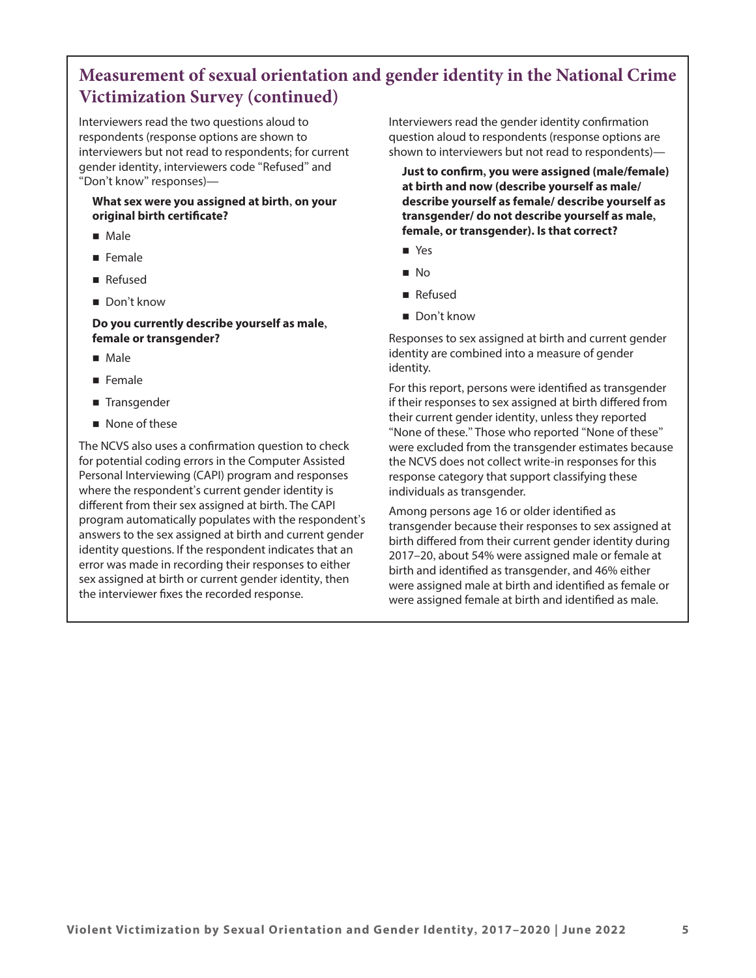## **Measurement of sexual orientation and gender identity in the National Crime Victimization Survey (continued)**

Interviewers read the two questions aloud to respondents (response options are shown to interviewers but not read to respondents; for current gender identity, interviewers code "Refused" and "Don't know" responses)—

#### **What sex were you assigned at birth, on your original birth certificate?**

- Male
- **Female**
- **Refused**
- Don't know

#### **Do you currently describe yourself as male, female or transgender?**

- Male
- **Female**
- Transgender
- None of these

The NCVS also uses a confirmation question to check for potential coding errors in the Computer Assisted Personal Interviewing (CAPI) program and responses where the respondent's current gender identity is different from their sex assigned at birth. The CAPI program automatically populates with the respondent's answers to the sex assigned at birth and current gender identity questions. If the respondent indicates that an error was made in recording their responses to either sex assigned at birth or current gender identity, then the interviewer fixes the recorded response.

Interviewers read the gender identity confirmation question aloud to respondents (response options are shown to interviewers but not read to respondents)—

**Just to confirm, you were assigned (male/female) at birth and now (describe yourself as male/ describe yourself as female/ describe yourself as transgender/ do not describe yourself as male, female, or transgender). Is that correct?**

- Yes
- $\blacksquare$  No
- **Refused**
- Don't know

Responses to sex assigned at birth and current gender identity are combined into a measure of gender identity.

For this report, persons were identified as transgender if their responses to sex assigned at birth differed from their current gender identity, unless they reported "None of these." Those who reported "None of these" were excluded from the transgender estimates because the NCVS does not collect write-in responses for this response category that support classifying these individuals as transgender.

Among persons age 16 or older identified as transgender because their responses to sex assigned at birth differed from their current gender identity during 2017–20, about 54% were assigned male or female at birth and identified as transgender, and 46% either were assigned male at birth and identified as female or were assigned female at birth and identified as male.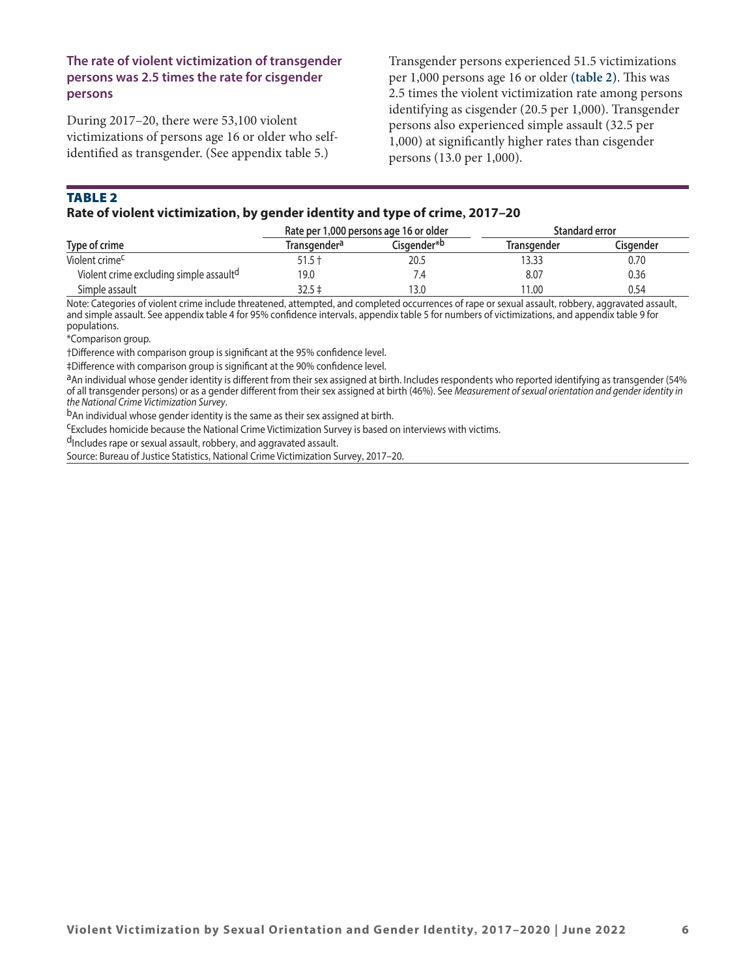#### **The rate of violent victimization of transgender persons was 2.5 times the rate for cisgender persons**

During 2017–20, there were 53,100 violent victimizations of persons age 16 or older who selfidentified as transgender. (See appendix table 5.)

Transgender persons experienced 51.5 victimizations per 1,000 persons age 16 or older **(table 2)**. This was 2.5 times the violent victimization rate among persons identifying as cisgender (20.5 per 1,000). Transgender persons also experienced simple assault (32.5 per 1,000) at significantly higher rates than cisgender persons (13.0 per 1,000).

#### **TABLE 2**

#### **Rate of violent victimization, by gender identity and type of crime, 2017–20**

|                                         | Rate per 1,000 persons age 16 or older |                         | Standard error |           |  |
|-----------------------------------------|----------------------------------------|-------------------------|----------------|-----------|--|
| Type of crime                           | Transgender <sup>a</sup>               | Cisaender* <sup>b</sup> | Transgender    | Cisaender |  |
| Violent crime <sup>c</sup>              | $51.5 +$                               | 20.5                    | 13.33          | 0.70      |  |
| Violent crime excluding simple assaultd | 19.0                                   | 7.4                     | 8.07           | 0.36      |  |
| Simple assault                          | 32.5 ‡                                 | 3.0                     | 11.00          | 0.54      |  |

Note: Categories of violent crime include threatened, attempted, and completed occurrences of rape or sexual assault, robbery, aggravated assault, and simple assault. See appendix table 4 for 95% confidence intervals, appendix table 5 for numbers of victimizations, and appendix table 9 for populations.

\*Comparison group.

†Difference with comparison group is significant at the 95% confidence level.

‡Difference with comparison group is significant at the 90% confidence level.

aAn individual whose gender identity is different from their sex assigned at birth. Includes respondents who reported identifying as transgender (54%) of all transgender persons) or as a gender different from their sex assigned at birth (46%). See *Measurement of sexual orientation and gender identity in* 

<sup>b</sup>An individual whose gender identity is the same as their sex assigned at birth.

cExcludes homicide because the National Crime Victimization Survey is based on interviews with victims.

d<sub>Includes rape or sexual assault, robbery, and aggravated assault.</sub>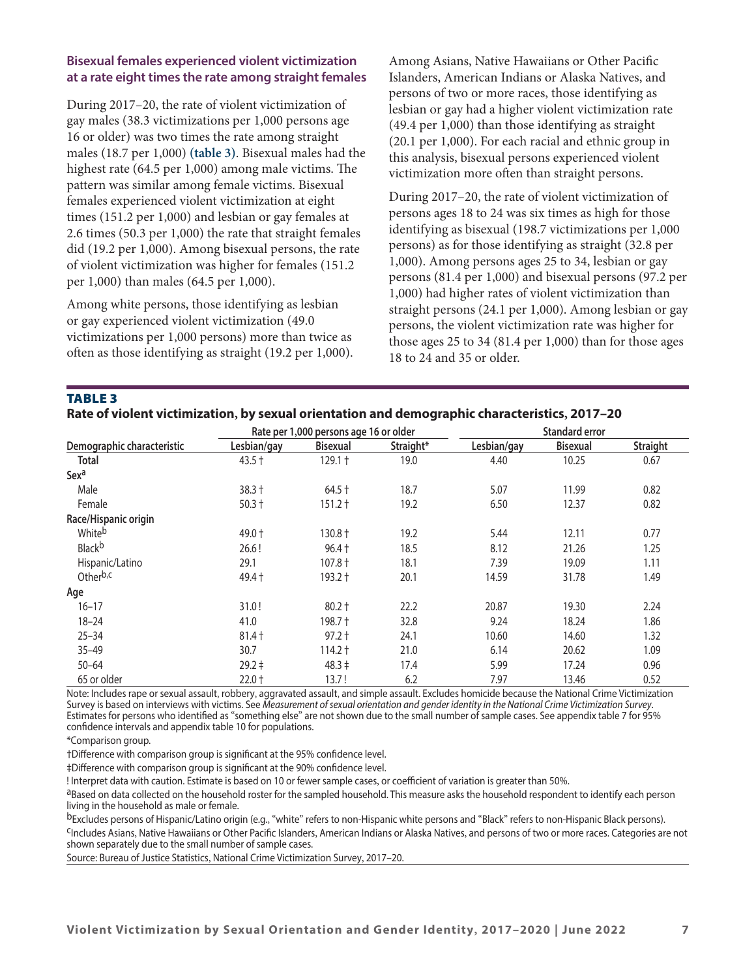#### **Bisexual females experienced violent victimization at a rate eight times the rate among straight females**

During 2017–20, the rate of violent victimization of gay males (38.3 victimizations per 1,000 persons age 16 or older) was two times the rate among straight males (18.7 per 1,000) **(table 3)**. Bisexual males had the highest rate (64.5 per 1,000) among male victims. The pattern was similar among female victims. Bisexual females experienced violent victimization at eight times (151.2 per 1,000) and lesbian or gay females at 2.6 times (50.3 per 1,000) the rate that straight females did (19.2 per 1,000). Among bisexual persons, the rate of violent victimization was higher for females (151.2 per 1,000) than males (64.5 per 1,000).

Among white persons, those identifying as lesbian or gay experienced violent victimization (49.0 victimizations per 1,000 persons) more than twice as often as those identifying as straight (19.2 per 1,000). Among Asians, Native Hawaiians or Other Pacific Islanders, American Indians or Alaska Natives, and persons of two or more races, those identifying as lesbian or gay had a higher violent victimization rate (49.4 per 1,000) than those identifying as straight (20.1 per 1,000). For each racial and ethnic group in this analysis, bisexual persons experienced violent victimization more often than straight persons.

During 2017–20, the rate of violent victimization of persons ages 18 to 24 was six times as high for those identifying as bisexual (198.7 victimizations per 1,000 persons) as for those identifying as straight (32.8 per 1,000). Among persons ages 25 to 34, lesbian or gay persons (81.4 per 1,000) and bisexual persons (97.2 per 1,000) had higher rates of violent victimization than straight persons (24.1 per 1,000). Among lesbian or gay persons, the violent victimization rate was higher for those ages 25 to 34 (81.4 per 1,000) than for those ages 18 to 24 and 35 or older.

| <b>TABLE 3</b>                                                                                |  |  |
|-----------------------------------------------------------------------------------------------|--|--|
| Rate of violent victimization, by sexual orientation and demographic characteristics, 2017-20 |  |  |

|                            |             | Rate per 1,000 persons age 16 or older |           | <b>Standard error</b> |                 |          |  |
|----------------------------|-------------|----------------------------------------|-----------|-----------------------|-----------------|----------|--|
| Demographic characteristic | Lesbian/gay | <b>Bisexual</b>                        | Straight* | Lesbian/gay           | <b>Bisexual</b> | Straight |  |
| <b>Total</b>               | $43.5 +$    | $129.1 +$                              | 19.0      | 4.40                  | 10.25           | 0.67     |  |
| Sexa                       |             |                                        |           |                       |                 |          |  |
| Male                       | $38.3 +$    | $64.5 +$                               | 18.7      | 5.07                  | 11.99           | 0.82     |  |
| Female                     | $50.3 +$    | $151.2 +$                              | 19.2      | 6.50                  | 12.37           | 0.82     |  |
| Race/Hispanic origin       |             |                                        |           |                       |                 |          |  |
| Whiteb                     | $49.0 +$    | $130.8 +$                              | 19.2      | 5.44                  | 12.11           | 0.77     |  |
| <b>Black</b> b             | 26.6!       | $96.4 +$                               | 18.5      | 8.12                  | 21.26           | 1.25     |  |
| Hispanic/Latino            | 29.1        | $107.8 +$                              | 18.1      | 7.39                  | 19.09           | 1.11     |  |
| Other <sup>b,c</sup>       | 49.4 +      | $193.2 +$                              | 20.1      | 14.59                 | 31.78           | 1.49     |  |
| Age                        |             |                                        |           |                       |                 |          |  |
| $16 - 17$                  | 31.0!       | $80.2 +$                               | 22.2      | 20.87                 | 19.30           | 2.24     |  |
| $18 - 24$                  | 41.0        | 198.7 +                                | 32.8      | 9.24                  | 18.24           | 1.86     |  |
| $25 - 34$                  | $81.4 +$    | $97.2 +$                               | 24.1      | 10.60                 | 14.60           | 1.32     |  |
| $35 - 49$                  | 30.7        | $114.2 +$                              | 21.0      | 6.14                  | 20.62           | 1.09     |  |
| $50 - 64$                  | $29.2 \pm$  | $48.3 \pm$                             | 17.4      | 5.99                  | 17.24           | 0.96     |  |
| 65 or older                | $22.0 +$    | 13.7!                                  | 6.2       | 7.97                  | 13.46           | 0.52     |  |

Note: Includes rape or sexual assault, robbery, aggravated assault, and simple assault. Excludes homicide because the National Crime Victimization Survey is based on interviews with victims. See *Measurement of sexual orientation and gender identity in the National Crime Victimization Survey*. Estimates for persons who identified as "something else" are not shown due to the small number of sample cases. See appendix table 7 for 95% confidence intervals and appendix table 10 for populations.

\*Comparison group.

†Difference with comparison group is significant at the 95% confidence level.

‡Difference with comparison group is significant at the 90% confidence level.

! Interpret data with caution. Estimate is based on 10 or fewer sample cases, or coefficient of variation is greater than 50%.<br><sup>a</sup>Based on data collected on the household roster for the sampled household. This measure asks living in the household as male or female.

<sup>b</sup>Excludes persons of Hispanic/Latino origin (e.g., "white" refers to non-Hispanic white persons and "Black" refers to non-Hispanic Black persons).<br><sup>C</sup>Includes Asians, Native Hawaiians or Other Pacific Islanders, American shown separately due to the small number of sample cases.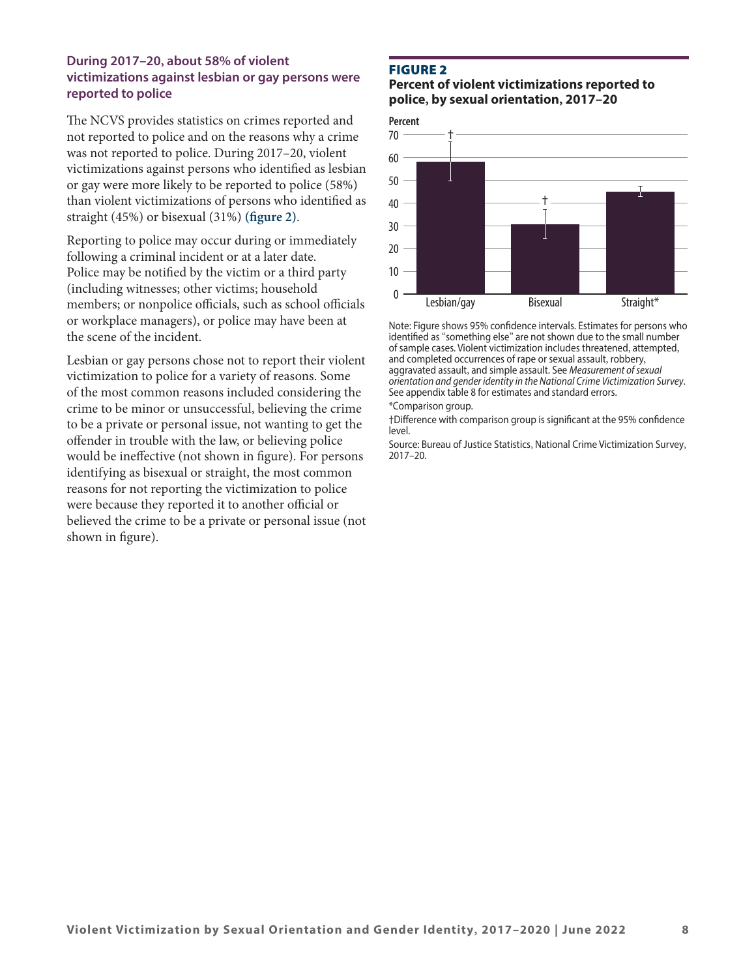#### **During 2017–20, about 58% of violent victimizations against lesbian or gay persons were reported to police**

The NCVS provides statistics on crimes reported and not reported to police and on the reasons why a crime was not reported to police. During 2017–20, violent victimizations against persons who identified as lesbian or gay were more likely to be reported to police (58%) than violent victimizations of persons who identified as straight (45%) or bisexual (31%) **(figure 2)**.

Reporting to police may occur during or immediately following a criminal incident or at a later date. Police may be notified by the victim or a third party (including witnesses; other victims; household members; or nonpolice officials, such as school officials or workplace managers), or police may have been at the scene of the incident.

Lesbian or gay persons chose not to report their violent victimization to police for a variety of reasons. Some of the most common reasons included considering the crime to be minor or unsuccessful, believing the crime to be a private or personal issue, not wanting to get the offender in trouble with the law, or believing police would be ineffective (not shown in figure). For persons identifying as bisexual or straight, the most common reasons for not reporting the victimization to police were because they reported it to another official or believed the crime to be a private or personal issue (not shown in figure).

#### Figure 2

#### **Percent of violent victimizations reported to police, by sexual orientation, 2017–20**



Note: Figure shows 95% confidence intervals. Estimates for persons who identified as "something else" are not shown due to the small number of sample cases. Violent victimization includes threatened, attempted, and completed occurrences of rape or sexual assault, robbery, aggravated assault, and simple assault. See *Measurement of sexual orientation and gender identity in the National Crime Victimization Survey*. See appendix table 8 for estimates and standard errors. \*Comparison group.

†Difference with comparison group is significant at the 95% confidence level.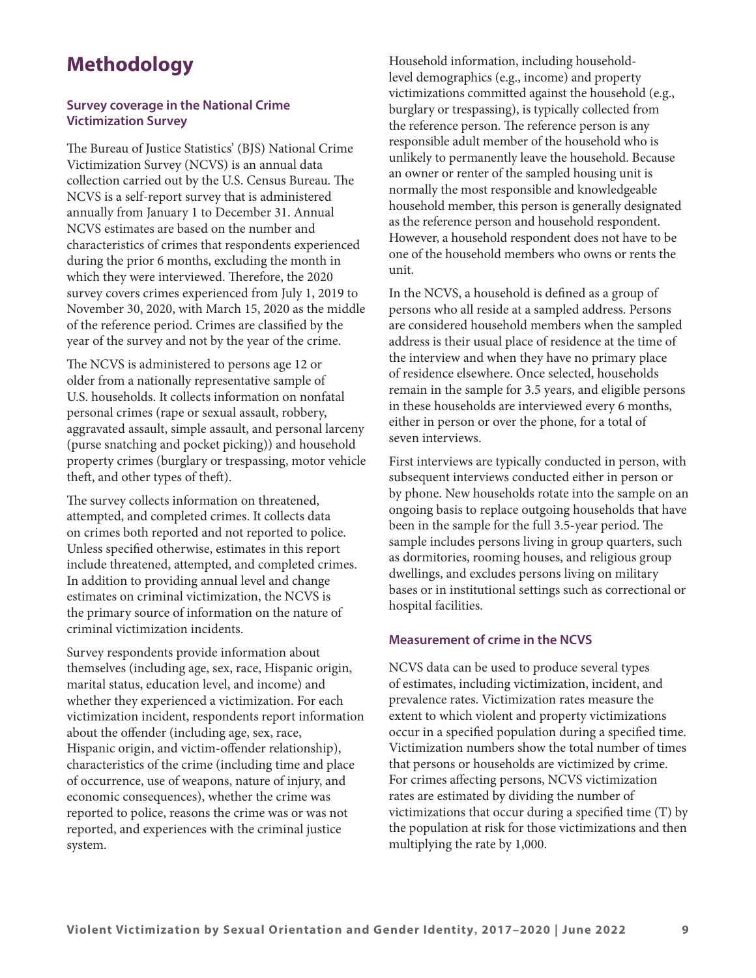## **Methodology**

#### **Survey coverage in the National Crime Victimization Survey**

The Bureau of Justice Statistics' (BJS) National Crime Victimization Survey (NCVS) is an annual data collection carried out by the U.S. Census Bureau. The NCVS is a self-report survey that is administered annually from January 1 to December 31. Annual NCVS estimates are based on the number and characteristics of crimes that respondents experienced during the prior 6 months, excluding the month in which they were interviewed. Therefore, the 2020 survey covers crimes experienced from July 1, 2019 to November 30, 2020, with March 15, 2020 as the middle of the reference period. Crimes are classified by the year of the survey and not by the year of the crime.

The NCVS is administered to persons age 12 or older from a nationally representative sample of U.S. households. It collects information on nonfatal personal crimes (rape or sexual assault, robbery, aggravated assault, simple assault, and personal larceny (purse snatching and pocket picking)) and household property crimes (burglary or trespassing, motor vehicle theft, and other types of theft).

The survey collects information on threatened, attempted, and completed crimes. It collects data on crimes both reported and not reported to police. Unless specified otherwise, estimates in this report include threatened, attempted, and completed crimes. In addition to providing annual level and change estimates on criminal victimization, the NCVS is the primary source of information on the nature of criminal victimization incidents.

Survey respondents provide information about themselves (including age, sex, race, Hispanic origin, marital status, education level, and income) and whether they experienced a victimization. For each victimization incident, respondents report information about the offender (including age, sex, race, Hispanic origin, and victim-offender relationship), characteristics of the crime (including time and place of occurrence, use of weapons, nature of injury, and economic consequences), whether the crime was reported to police, reasons the crime was or was not reported, and experiences with the criminal justice system.

Household information, including householdlevel demographics (e.g., income) and property victimizations committed against the household (e.g., burglary or trespassing), is typically collected from the reference person. The reference person is any responsible adult member of the household who is unlikely to permanently leave the household. Because an owner or renter of the sampled housing unit is normally the most responsible and knowledgeable household member, this person is generally designated as the reference person and household respondent. However, a household respondent does not have to be one of the household members who owns or rents the unit.

In the NCVS, a household is defined as a group of persons who all reside at a sampled address. Persons are considered household members when the sampled address is their usual place of residence at the time of the interview and when they have no primary place of residence elsewhere. Once selected, households remain in the sample for 3.5 years, and eligible persons in these households are interviewed every 6 months, either in person or over the phone, for a total of seven interviews.

First interviews are typically conducted in person, with subsequent interviews conducted either in person or by phone. New households rotate into the sample on an ongoing basis to replace outgoing households that have been in the sample for the full 3.5-year period. The sample includes persons living in group quarters, such as dormitories, rooming houses, and religious group dwellings, and excludes persons living on military bases or in institutional settings such as correctional or hospital facilities.

#### **Measurement of crime in the NCVS**

NCVS data can be used to produce several types of estimates, including victimization, incident, and prevalence rates. Victimization rates measure the extent to which violent and property victimizations occur in a specified population during a specified time. Victimization numbers show the total number of times that persons or households are victimized by crime. For crimes affecting persons, NCVS victimization rates are estimated by dividing the number of victimizations that occur during a specified time (T) by the population at risk for those victimizations and then multiplying the rate by 1,000.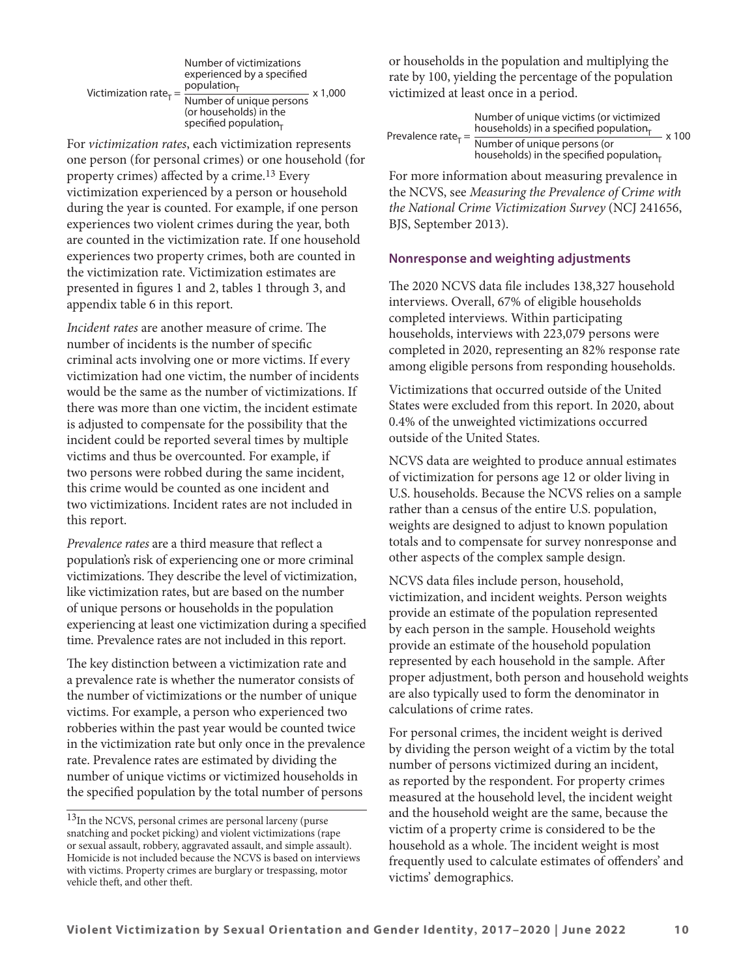Number of victimizations  
experienced by a specified  
Victimization rate<sub>T</sub> = 
$$
\frac{population_T}{Number of unique persons} \times 1,000
$$
  
(or households) in the specified population<sub>T</sub>

For *victimization rates*, each victimization represents one person (for personal crimes) or one household (for property crimes) affected by a crime.13 Every victimization experienced by a person or household during the year is counted. For example, if one person experiences two violent crimes during the year, both are counted in the victimization rate. If one household experiences two property crimes, both are counted in the victimization rate. Victimization estimates are presented in figures 1 and 2, tables 1 through 3, and appendix table 6 in this report.

*Incident rates* are another measure of crime. The number of incidents is the number of specific criminal acts involving one or more victims. If every victimization had one victim, the number of incidents would be the same as the number of victimizations. If there was more than one victim, the incident estimate is adjusted to compensate for the possibility that the incident could be reported several times by multiple victims and thus be overcounted. For example, if two persons were robbed during the same incident, this crime would be counted as one incident and two victimizations. Incident rates are not included in this report.

*Prevalence rates* are a third measure that reflect a population's risk of experiencing one or more criminal victimizations. They describe the level of victimization, like victimization rates, but are based on the number of unique persons or households in the population experiencing at least one victimization during a specified time. Prevalence rates are not included in this report.

The key distinction between a victimization rate and a prevalence rate is whether the numerator consists of the number of victimizations or the number of unique victims. For example, a person who experienced two robberies within the past year would be counted twice in the victimization rate but only once in the prevalence rate. Prevalence rates are estimated by dividing the number of unique victims or victimized households in the specified population by the total number of persons

or households in the population and multiplying the rate by 100, yielding the percentage of the population victimized at least once in a period.

| Prevalence rate <sub><math>\tau</math></sub> = | Number of unique victims (or victimized<br>households) in a specified population $_{T}$<br>$-$ x 100 |  |  |  |  |  |
|------------------------------------------------|------------------------------------------------------------------------------------------------------|--|--|--|--|--|
|                                                | Number of unique persons (or<br>households) in the specified population $_{\text{T}}$                |  |  |  |  |  |

For more information about measuring prevalence in the NCVS, see *Measuring the Prevalence of Crime with the National Crime Victimization Survey* (NCJ 241656, BJS, September 2013).

#### **Nonresponse and weighting adjustments**

The 2020 NCVS data file includes 138,327 household interviews. Overall, 67% of eligible households completed interviews. Within participating households, interviews with 223,079 persons were completed in 2020, representing an 82% response rate among eligible persons from responding households.

Victimizations that occurred outside of the United States were excluded from this report. In 2020, about 0.4% of the unweighted victimizations occurred outside of the United States.

NCVS data are weighted to produce annual estimates of victimization for persons age 12 or older living in U.S. households. Because the NCVS relies on a sample rather than a census of the entire U.S. population, weights are designed to adjust to known population totals and to compensate for survey nonresponse and other aspects of the complex sample design.

NCVS data files include person, household, victimization, and incident weights. Person weights provide an estimate of the population represented by each person in the sample. Household weights provide an estimate of the household population represented by each household in the sample. After proper adjustment, both person and household weights are also typically used to form the denominator in calculations of crime rates.

For personal crimes, the incident weight is derived by dividing the person weight of a victim by the total number of persons victimized during an incident, as reported by the respondent. For property crimes measured at the household level, the incident weight and the household weight are the same, because the victim of a property crime is considered to be the household as a whole. The incident weight is most frequently used to calculate estimates of offenders' and victims' demographics.

<sup>13</sup>In the NCVS, personal crimes are personal larceny (purse snatching and pocket picking) and violent victimizations (rape or sexual assault, robbery, aggravated assault, and simple assault). Homicide is not included because the NCVS is based on interviews with victims. Property crimes are burglary or trespassing, motor vehicle theft, and other theft.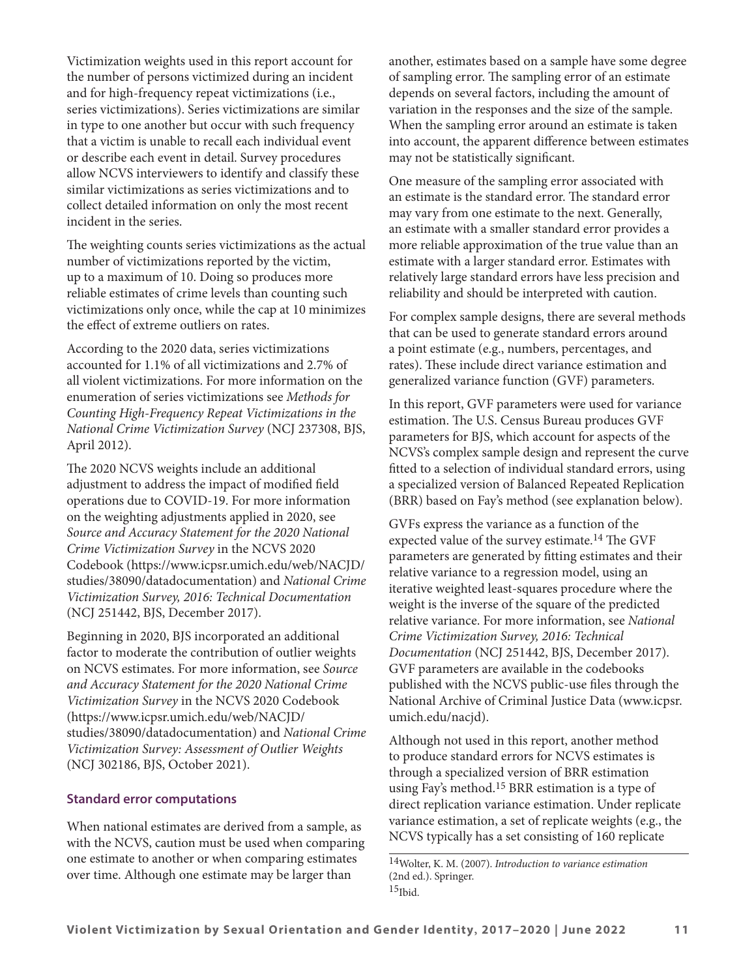Victimization weights used in this report account for the number of persons victimized during an incident and for high-frequency repeat victimizations (i.e., series victimizations). Series victimizations are similar in type to one another but occur with such frequency that a victim is unable to recall each individual event or describe each event in detail. Survey procedures allow NCVS interviewers to identify and classify these similar victimizations as series victimizations and to collect detailed information on only the most recent incident in the series.

The weighting counts series victimizations as the actual number of victimizations reported by the victim, up to a maximum of 10. Doing so produces more reliable estimates of crime levels than counting such victimizations only once, while the cap at 10 minimizes the effect of extreme outliers on rates.

According to the 2020 data, series victimizations accounted for 1.1% of all victimizations and 2.7% of all violent victimizations. For more information on the enumeration of series victimizations see *Methods for Counting High-Frequency Repeat Victimizations in the National Crime Victimization Survey* (NCJ 237308, BJS, April 2012).

The 2020 NCVS weights include an additional adjustment to address the impact of modified field operations due to COVID-19. For more information on the weighting adjustments applied in 2020, see *Source and Accuracy Statement for the 2020 National Crime Victimization Survey* in the NCVS 2020 Codebook (https://www.icpsr.umich.edu/web/NACJD/ studies/38090/datadocumentation) and *National Crime Victimization Survey, 2016: Technical Documentation* (NCJ 251442, BJS, December 2017).

Beginning in 2020, BJS incorporated an additional factor to moderate the contribution of outlier weights on NCVS estimates. For more information, see *Source and Accuracy Statement for the 2020 National Crime Victimization Survey* in the NCVS 2020 Codebook (https://www.icpsr.umich.edu/web/NACJD/ studies/38090/datadocumentation) and *National Crime Victimization Survey: Assessment of Outlier Weights* (NCJ 302186, BJS, October 2021).

#### **Standard error computations**

When national estimates are derived from a sample, as with the NCVS, caution must be used when comparing one estimate to another or when comparing estimates over time. Although one estimate may be larger than

another, estimates based on a sample have some degree of sampling error. The sampling error of an estimate depends on several factors, including the amount of variation in the responses and the size of the sample. When the sampling error around an estimate is taken into account, the apparent difference between estimates may not be statistically significant.

One measure of the sampling error associated with an estimate is the standard error. The standard error may vary from one estimate to the next. Generally, an estimate with a smaller standard error provides a more reliable approximation of the true value than an estimate with a larger standard error. Estimates with relatively large standard errors have less precision and reliability and should be interpreted with caution.

For complex sample designs, there are several methods that can be used to generate standard errors around a point estimate (e.g., numbers, percentages, and rates). These include direct variance estimation and generalized variance function (GVF) parameters.

In this report, GVF parameters were used for variance estimation. The U.S. Census Bureau produces GVF parameters for BJS, which account for aspects of the NCVS's complex sample design and represent the curve fitted to a selection of individual standard errors, using a specialized version of Balanced Repeated Replication (BRR) based on Fay's method (see explanation below).

GVFs express the variance as a function of the expected value of the survey estimate.14 The GVF parameters are generated by fitting estimates and their relative variance to a regression model, using an iterative weighted least-squares procedure where the weight is the inverse of the square of the predicted relative variance. For more information, see *National Crime Victimization Survey, 2016: Technical Documentation* (NCJ 251442, BJS, December 2017). GVF parameters are available in the codebooks published with the NCVS public-use files through the National Archive of Criminal Justice Data (www.icpsr. umich.edu/nacjd).

Although not used in this report, another method to produce standard errors for NCVS estimates is through a specialized version of BRR estimation using Fay's method.15 BRR estimation is a type of direct replication variance estimation. Under replicate variance estimation, a set of replicate weights (e.g., the NCVS typically has a set consisting of 160 replicate

14Wolter, K. M. (2007). *Introduction to variance estimation* (2nd ed.). Springer.  $15$ Ibid.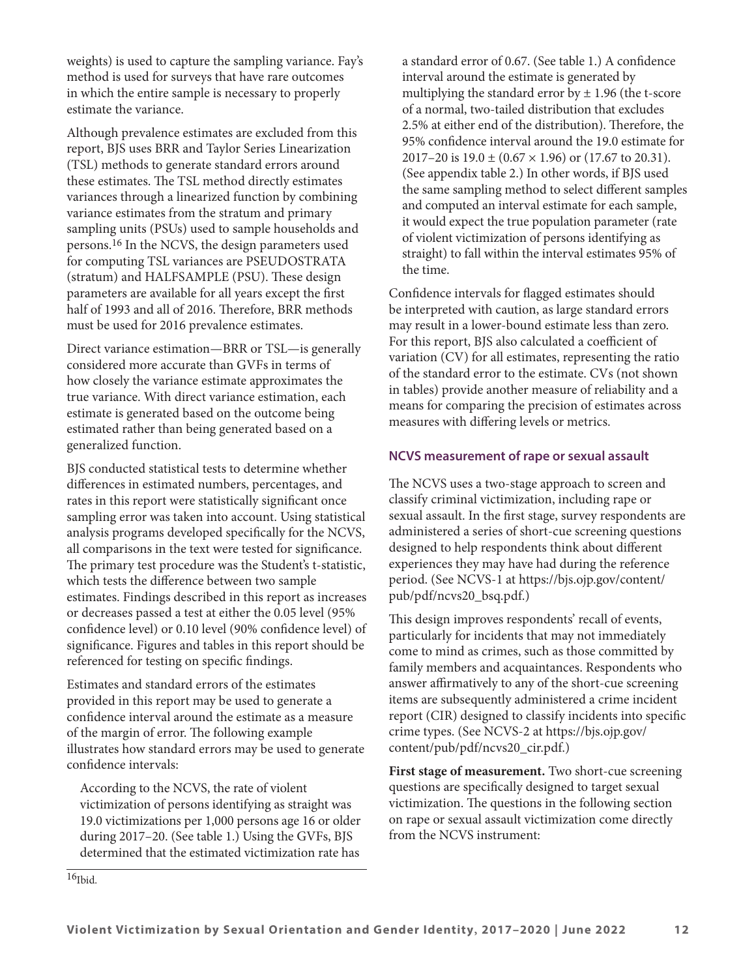weights) is used to capture the sampling variance. Fay's method is used for surveys that have rare outcomes in which the entire sample is necessary to properly estimate the variance.

Although prevalence estimates are excluded from this report, BJS uses BRR and Taylor Series Linearization (TSL) methods to generate standard errors around these estimates. The TSL method directly estimates variances through a linearized function by combining variance estimates from the stratum and primary sampling units (PSUs) used to sample households and persons.16 In the NCVS, the design parameters used for computing TSL variances are PSEUDOSTRATA (stratum) and HALFSAMPLE (PSU). These design parameters are available for all years except the first half of 1993 and all of 2016. Therefore, BRR methods must be used for 2016 prevalence estimates.

Direct variance estimation—BRR or TSL—is generally considered more accurate than GVFs in terms of how closely the variance estimate approximates the true variance. With direct variance estimation, each estimate is generated based on the outcome being estimated rather than being generated based on a generalized function.

BJS conducted statistical tests to determine whether differences in estimated numbers, percentages, and rates in this report were statistically significant once sampling error was taken into account. Using statistical analysis programs developed specifically for the NCVS, all comparisons in the text were tested for significance. The primary test procedure was the Student's t-statistic, which tests the difference between two sample estimates. Findings described in this report as increases or decreases passed a test at either the 0.05 level (95% confidence level) or 0.10 level (90% confidence level) of significance. Figures and tables in this report should be referenced for testing on specific findings.

Estimates and standard errors of the estimates provided in this report may be used to generate a confidence interval around the estimate as a measure of the margin of error. The following example illustrates how standard errors may be used to generate confidence intervals:

According to the NCVS, the rate of violent victimization of persons identifying as straight was 19.0 victimizations per 1,000 persons age 16 or older during 2017–20. (See table 1.) Using the GVFs, BJS determined that the estimated victimization rate has

a standard error of 0.67. (See table 1.) A confidence interval around the estimate is generated by multiplying the standard error by  $\pm$  1.96 (the t-score of a normal, two-tailed distribution that excludes 2.5% at either end of the distribution). Therefore, the 95% confidence interval around the 19.0 estimate for 2017–20 is  $19.0 \pm (0.67 \times 1.96)$  or  $(17.67 \text{ to } 20.31)$ . (See appendix table 2.) In other words, if BJS used the same sampling method to select different samples and computed an interval estimate for each sample, it would expect the true population parameter (rate of violent victimization of persons identifying as straight) to fall within the interval estimates 95% of the time.

Confidence intervals for flagged estimates should be interpreted with caution, as large standard errors may result in a lower-bound estimate less than zero. For this report, BJS also calculated a coefficient of variation (CV) for all estimates, representing the ratio of the standard error to the estimate. CVs (not shown in tables) provide another measure of reliability and a means for comparing the precision of estimates across measures with differing levels or metrics.

#### **NCVS measurement of rape or sexual assault**

The NCVS uses a two-stage approach to screen and classify criminal victimization, including rape or sexual assault. In the first stage, survey respondents are administered a series of short-cue screening questions designed to help respondents think about different experiences they may have had during the reference period. (See NCVS-1 at https://bjs.ojp.gov/content/ pub/pdf/ncvs20\_bsq.pdf.)

This design improves respondents' recall of events, particularly for incidents that may not immediately come to mind as crimes, such as those committed by family members and acquaintances. Respondents who answer affirmatively to any of the short-cue screening items are subsequently administered a crime incident report (CIR) designed to classify incidents into specific crime types. (See NCVS-2 at https://bjs.ojp.gov/ content/pub/pdf/ncvs20\_cir.pdf.)

**First stage of measurement.** Two short-cue screening questions are specifically designed to target sexual victimization. The questions in the following section on rape or sexual assault victimization come directly from the NCVS instrument:

16<sub>Ibid.</sub>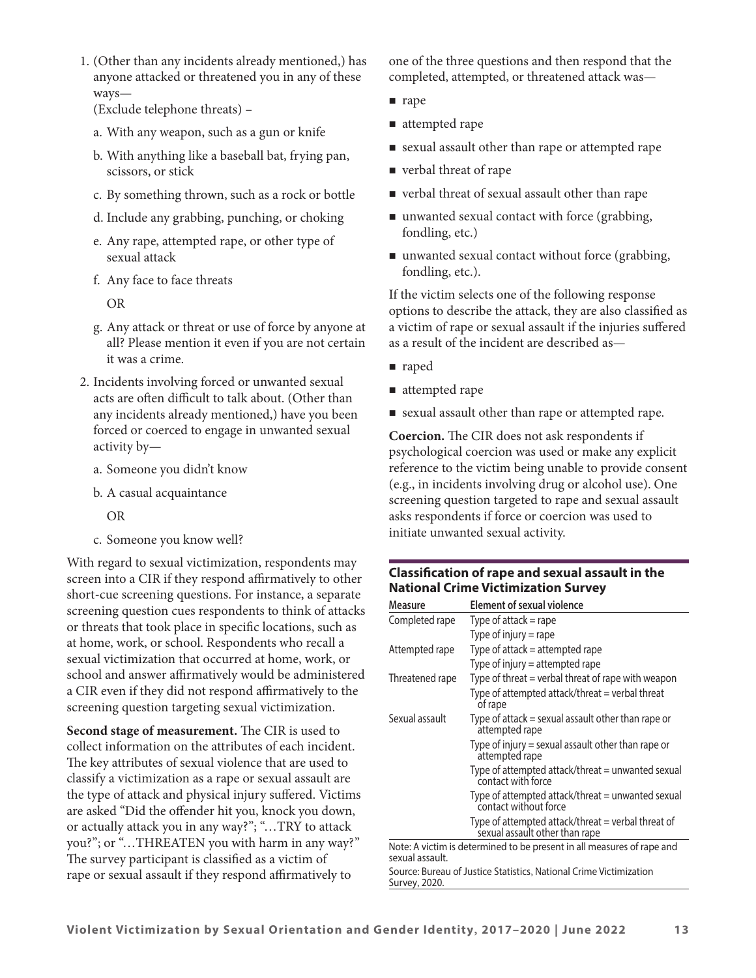1. (Other than any incidents already mentioned,) has anyone attacked or threatened you in any of these ways—

(Exclude telephone threats) –

- a. With any weapon, such as a gun or knife
- b. With anything like a baseball bat, frying pan, scissors, or stick
- c. By something thrown, such as a rock or bottle
- d. Include any grabbing, punching, or choking
- e. Any rape, attempted rape, or other type of sexual attack
- f. Any face to face threats

OR

- g. Any attack or threat or use of force by anyone at all? Please mention it even if you are not certain it was a crime.
- 2. Incidents involving forced or unwanted sexual acts are often difficult to talk about. (Other than any incidents already mentioned,) have you been forced or coerced to engage in unwanted sexual activity by
	- a. Someone you didn't know
	- b. A casual acquaintance

OR

c. Someone you know well?

With regard to sexual victimization, respondents may screen into a CIR if they respond affirmatively to other short-cue screening questions. For instance, a separate screening question cues respondents to think of attacks or threats that took place in specific locations, such as at home, work, or school. Respondents who recall a sexual victimization that occurred at home, work, or school and answer affirmatively would be administered a CIR even if they did not respond affirmatively to the screening question targeting sexual victimization.

**Second stage of measurement.** The CIR is used to collect information on the attributes of each incident. The key attributes of sexual violence that are used to classify a victimization as a rape or sexual assault are the type of attack and physical injury suffered. Victims are asked "Did the offender hit you, knock you down, or actually attack you in any way?"; "…TRY to attack you?"; or "…THREATEN you with harm in any way?" The survey participant is classified as a victim of rape or sexual assault if they respond affirmatively to

one of the three questions and then respond that the completed, attempted, or threatened attack was—

- $\blacksquare$  rape
- attempted rape
- sexual assault other than rape or attempted rape
- verbal threat of rape
- verbal threat of sexual assault other than rape
- unwanted sexual contact with force (grabbing, fondling, etc.)
- unwanted sexual contact without force (grabbing, fondling, etc.).

If the victim selects one of the following response options to describe the attack, they are also classified as a victim of rape or sexual assault if the injuries suffered as a result of the incident are described as—

- naped
- attempted rape
- sexual assault other than rape or attempted rape.

**Coercion.** The CIR does not ask respondents if psychological coercion was used or make any explicit reference to the victim being unable to provide consent (e.g., in incidents involving drug or alcohol use). One screening question targeted to rape and sexual assault asks respondents if force or coercion was used to initiate unwanted sexual activity.

#### **Classification of rape and sexual assault in the National Crime Victimization Survey**

| Measure         | <b>Element of sexual violence</b>                                                    |
|-----------------|--------------------------------------------------------------------------------------|
| Completed rape  | Type of attack $=$ rape                                                              |
|                 | Type of injury $=$ rape                                                              |
| Attempted rape  | Type of attack = attempted rape                                                      |
|                 | Type of injury $=$ attempted rape                                                    |
| Threatened rape | Type of threat = verbal threat of rape with weapon                                   |
|                 | Type of attempted attack/threat = verbal threat<br>of rape                           |
| Sexual assault  | Type of attack $=$ sexual assault other than rape or<br>attempted rape               |
|                 | Type of injury = sexual assault other than rape or<br>attempted rape                 |
|                 | Type of attempted attack/threat = unwanted sexual<br>contact with force              |
|                 | Type of attempted attack/threat = unwanted sexual<br>contact without force           |
|                 | Type of attempted attack/threat = verbal threat of<br>sexual assault other than rape |
| sexual assault. | Note: A victim is determined to be present in all measures of rape and               |
|                 | Source: Bureau of Justice Statistics, National Crime Victimization                   |

Survey, 2020.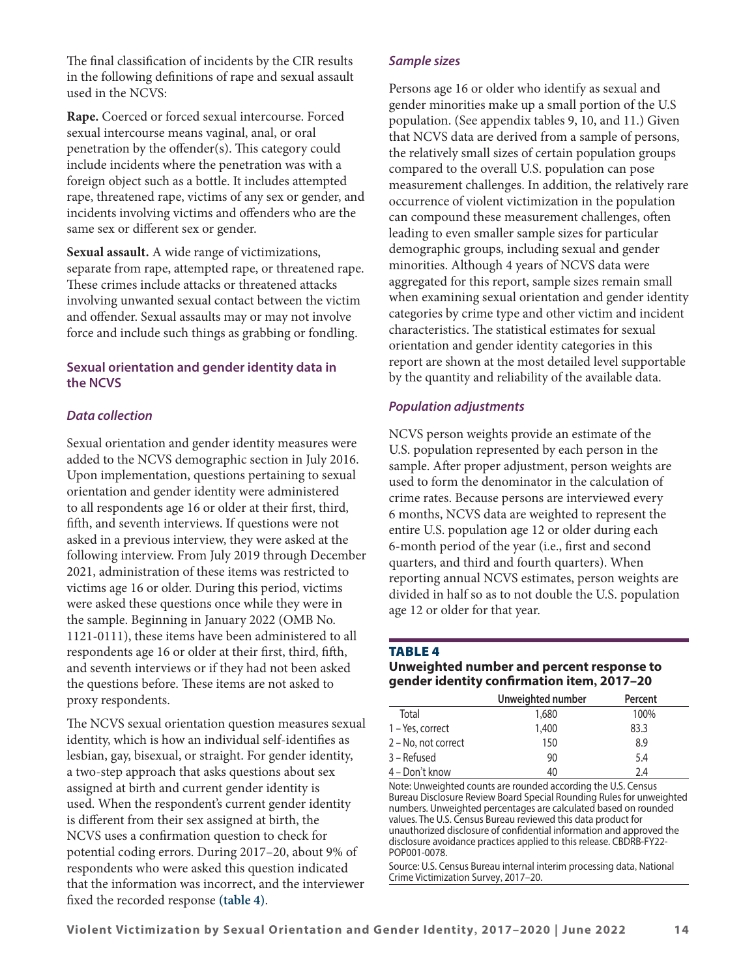The final classification of incidents by the CIR results in the following definitions of rape and sexual assault used in the NCVS:

**Rape.** Coerced or forced sexual intercourse. Forced sexual intercourse means vaginal, anal, or oral penetration by the offender(s). This category could include incidents where the penetration was with a foreign object such as a bottle. It includes attempted rape, threatened rape, victims of any sex or gender, and incidents involving victims and offenders who are the same sex or different sex or gender.

**Sexual assault.** A wide range of victimizations, separate from rape, attempted rape, or threatened rape. These crimes include attacks or threatened attacks involving unwanted sexual contact between the victim and offender. Sexual assaults may or may not involve force and include such things as grabbing or fondling.

#### **Sexual orientation and gender identity data in the NCVS**

#### *Data collection*

Sexual orientation and gender identity measures were added to the NCVS demographic section in July 2016. Upon implementation, questions pertaining to sexual orientation and gender identity were administered to all respondents age 16 or older at their first, third, fifth, and seventh interviews. If questions were not asked in a previous interview, they were asked at the following interview. From July 2019 through December 2021, administration of these items was restricted to victims age 16 or older. During this period, victims were asked these questions once while they were in the sample. Beginning in January 2022 (OMB No. 1121-0111), these items have been administered to all respondents age 16 or older at their first, third, fifth, and seventh interviews or if they had not been asked the questions before. These items are not asked to proxy respondents.

The NCVS sexual orientation question measures sexual identity, which is how an individual self-identifies as lesbian, gay, bisexual, or straight. For gender identity, a two-step approach that asks questions about sex assigned at birth and current gender identity is used. When the respondent's current gender identity is different from their sex assigned at birth, the NCVS uses a confirmation question to check for potential coding errors. During 2017–20, about 9% of respondents who were asked this question indicated that the information was incorrect, and the interviewer fixed the recorded response **(table 4)**.

#### *Sample sizes*

Persons age 16 or older who identify as sexual and gender minorities make up a small portion of the U.S population. (See appendix tables 9, 10, and 11.) Given that NCVS data are derived from a sample of persons, the relatively small sizes of certain population groups compared to the overall U.S. population can pose measurement challenges. In addition, the relatively rare occurrence of violent victimization in the population can compound these measurement challenges, often leading to even smaller sample sizes for particular demographic groups, including sexual and gender minorities. Although 4 years of NCVS data were aggregated for this report, sample sizes remain small when examining sexual orientation and gender identity categories by crime type and other victim and incident characteristics. The statistical estimates for sexual orientation and gender identity categories in this report are shown at the most detailed level supportable by the quantity and reliability of the available data.

#### *Population adjustments*

NCVS person weights provide an estimate of the U.S. population represented by each person in the sample. After proper adjustment, person weights are used to form the denominator in the calculation of crime rates. Because persons are interviewed every 6 months, NCVS data are weighted to represent the entire U.S. population age 12 or older during each 6-month period of the year (i.e., first and second quarters, and third and fourth quarters). When reporting annual NCVS estimates, person weights are divided in half so as to not double the U.S. population age 12 or older for that year.

#### **TABLE 4**

#### **Unweighted number and percent response to gender identity confirmation item, 2017–20**

|                     | Unweighted number | Percent |  |
|---------------------|-------------------|---------|--|
| Total               | 1,680             | 100%    |  |
| 1 – Yes, correct    | 1,400             | 83.3    |  |
| 2 – No. not correct | 150               | 8.9     |  |
| 3 – Refused         | 90                | 5.4     |  |
| 4 – Don't know      | 40                | 24      |  |

Note: Unweighted counts are rounded according the U.S. Census Bureau Disclosure Review Board Special Rounding Rules for unweighted numbers. Unweighted percentages are calculated based on rounded values. The U.S. Census Bureau reviewed this data product for unauthorized disclosure of confidential information and approved the disclosure avoidance practices applied to this release. CBDRB-FY22- POP001-0078.

Source: U.S. Census Bureau internal interim processing data, National Crime Victimization Survey, 2017–20.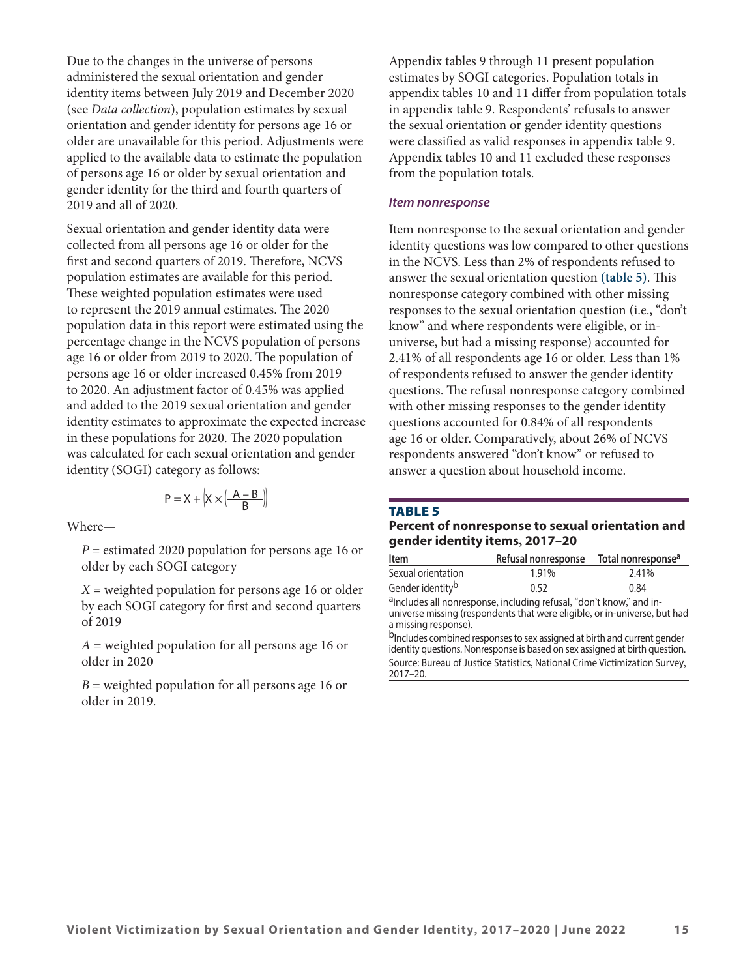Due to the changes in the universe of persons administered the sexual orientation and gender identity items between July 2019 and December 2020 (see *Data collection*), population estimates by sexual orientation and gender identity for persons age 16 or older are unavailable for this period. Adjustments were applied to the available data to estimate the population of persons age 16 or older by sexual orientation and gender identity for the third and fourth quarters of 2019 and all of 2020.

Sexual orientation and gender identity data were collected from all persons age 16 or older for the first and second quarters of 2019. Therefore, NCVS population estimates are available for this period. These weighted population estimates were used to represent the 2019 annual estimates. The 2020 population data in this report were estimated using the percentage change in the NCVS population of persons age 16 or older from 2019 to 2020. The population of persons age 16 or older increased 0.45% from 2019 to 2020. An adjustment factor of 0.45% was applied and added to the 2019 sexual orientation and gender identity estimates to approximate the expected increase in these populations for 2020. The 2020 population was calculated for each sexual orientation and gender identity (SOGI) category as follows:

$$
P = X + \left| X \times \left| \frac{A - B}{B} \right| \right|
$$

Where—

*P* = estimated 2020 population for persons age 16 or older by each SOGI category

*X* = weighted population for persons age 16 or older by each SOGI category for first and second quarters of 2019

*A* = weighted population for all persons age 16 or older in 2020

 $B$  = weighted population for all persons age 16 or older in 2019.

Appendix tables 9 through 11 present population estimates by SOGI categories. Population totals in appendix tables 10 and 11 differ from population totals in appendix table 9. Respondents' refusals to answer the sexual orientation or gender identity questions were classified as valid responses in appendix table 9. Appendix tables 10 and 11 excluded these responses from the population totals.

#### *Item nonresponse*

Item nonresponse to the sexual orientation and gender identity questions was low compared to other questions in the NCVS. Less than 2% of respondents refused to answer the sexual orientation question **(table 5)**. This nonresponse category combined with other missing responses to the sexual orientation question (i.e., "don't know" and where respondents were eligible, or inuniverse, but had a missing response) accounted for 2.41% of all respondents age 16 or older. Less than 1% of respondents refused to answer the gender identity questions. The refusal nonresponse category combined with other missing responses to the gender identity questions accounted for 0.84% of all respondents age 16 or older. Comparatively, about 26% of NCVS respondents answered "don't know" or refused to answer a question about household income.

#### **TABLE 5**

#### **Percent of nonresponse to sexual orientation and gender identity items, 2017–20**

| Item                         | Refusal nonresponse | Total nonresponse <sup>a</sup> |
|------------------------------|---------------------|--------------------------------|
| Sexual orientation           | 1.91%               | 2.41%                          |
| Gender identity <sup>b</sup> | 0.52                | 0.84                           |
|                              |                     |                                |

aIncludes all nonresponse, including refusal, "don't know," and inuniverse missing (respondents that were eligible, or in-universe, but had a missing response).

b<sub>Includes</sub> combined responses to sex assigned at birth and current gender identity questions. Nonresponse is based on sex assigned at birth question. Source: Bureau of Justice Statistics, National Crime Victimization Survey, 2017–20.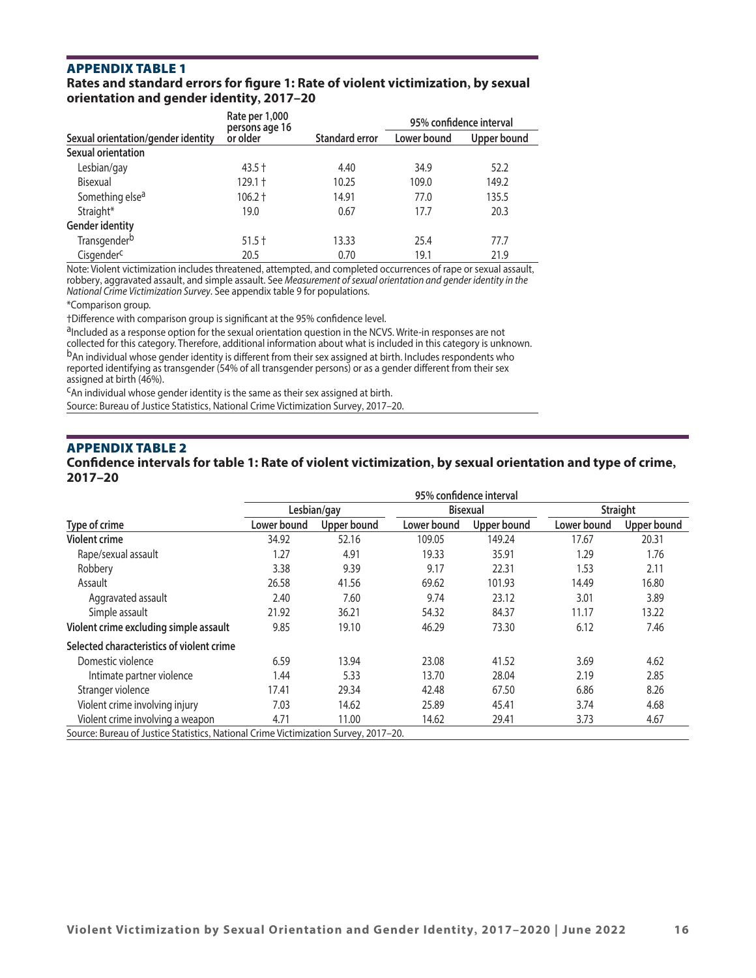#### **Rates and standard errors for figure 1: Rate of violent victimization, by sexual orientation and gender identity, 2017–20**

|                                    | Rate per 1,000<br>persons age 16 |                       | 95% confidence interval |             |  |  |
|------------------------------------|----------------------------------|-----------------------|-------------------------|-------------|--|--|
| Sexual orientation/gender identity | or older                         | <b>Standard error</b> | Lower bound             | Upper bound |  |  |
| Sexual orientation                 |                                  |                       |                         |             |  |  |
| Lesbian/gay                        | $43.5 +$                         | 4.40                  | 34.9                    | 52.2        |  |  |
| Bisexual                           | $129.1 +$                        | 10.25                 | 109.0                   | 149.2       |  |  |
| Something else <sup>a</sup>        | $106.2 +$                        | 14.91                 | 77.0                    | 135.5       |  |  |
| Straight*                          | 19.0                             | 0.67                  | 17.7                    | 20.3        |  |  |
| <b>Gender identity</b>             |                                  |                       |                         |             |  |  |
| Transgenderb                       | $51.5 +$                         | 13.33                 | 25.4                    | 77.7        |  |  |
| Cisgender <sup>c</sup>             | 20.5                             | 0.70                  | 19.1                    | 21.9        |  |  |

Note: Violent victimization includes threatened, attempted, and completed occurrences of rape or sexual assault, robbery, aggravated assault, and simple assault. See *Measurement of sexual orientation and gender identity in the National Crime Victimization Survey*. See appendix table 9 for populations.

\*Comparison group.

†Difference with comparison group is significant at the 95% confidence level.

aIncluded as a response option for the sexual orientation question in the NCVS. Write-in responses are not collected for this category. Therefore, additional information about what is included in this category is unknown. bAn individual whose gender identity is different from their sex assigned at birth. Includes respondents who reported identifying as transgender (54% of all transgender persons) or as a gender different from their sex assigned at birth (46%).

cAn individual whose gender identity is the same as their sex assigned at birth.

Source: Bureau of Justice Statistics, National Crime Victimization Survey, 2017–20.

#### Appendix Table 2

#### **Confidence intervals for table 1: Rate of violent victimization, by sexual orientation and type of crime, 2017–20**

|                                                                                     | 95% confidence interval |             |             |                 |             |             |  |  |  |
|-------------------------------------------------------------------------------------|-------------------------|-------------|-------------|-----------------|-------------|-------------|--|--|--|
|                                                                                     |                         | Lesbian/gay |             | <b>Bisexual</b> |             | Straight    |  |  |  |
| Type of crime                                                                       | Lower bound             | Upper bound | Lower bound | Upper bound     | Lower bound | Upper bound |  |  |  |
| <b>Violent crime</b>                                                                | 34.92                   | 52.16       | 109.05      | 149.24          | 17.67       | 20.31       |  |  |  |
| Rape/sexual assault                                                                 | 1.27                    | 4.91        | 19.33       | 35.91           | 1.29        | 1.76        |  |  |  |
| Robbery                                                                             | 3.38                    | 9.39        | 9.17        | 22.31           | 1.53        | 2.11        |  |  |  |
| Assault                                                                             | 26.58                   | 41.56       | 69.62       | 101.93          | 14.49       | 16.80       |  |  |  |
| Aggravated assault                                                                  | 2.40                    | 7.60        | 9.74        | 23.12           | 3.01        | 3.89        |  |  |  |
| Simple assault                                                                      | 21.92                   | 36.21       | 54.32       | 84.37           | 11.17       | 13.22       |  |  |  |
| Violent crime excluding simple assault                                              | 9.85                    | 19.10       | 46.29       | 73.30           | 6.12        | 7.46        |  |  |  |
| Selected characteristics of violent crime                                           |                         |             |             |                 |             |             |  |  |  |
| Domestic violence                                                                   | 6.59                    | 13.94       | 23.08       | 41.52           | 3.69        | 4.62        |  |  |  |
| Intimate partner violence                                                           | 1.44                    | 5.33        | 13.70       | 28.04           | 2.19        | 2.85        |  |  |  |
| Stranger violence                                                                   | 17.41                   | 29.34       | 42.48       | 67.50           | 6.86        | 8.26        |  |  |  |
| Violent crime involving injury                                                      | 7.03                    | 14.62       | 25.89       | 45.41           | 3.74        | 4.68        |  |  |  |
| Violent crime involving a weapon                                                    | 4.71                    | 11.00       | 14.62       | 29.41           | 3.73        | 4.67        |  |  |  |
| Source: Bureau of Justice Statistics, National Crime Victimization Survey, 2017-20. |                         |             |             |                 |             |             |  |  |  |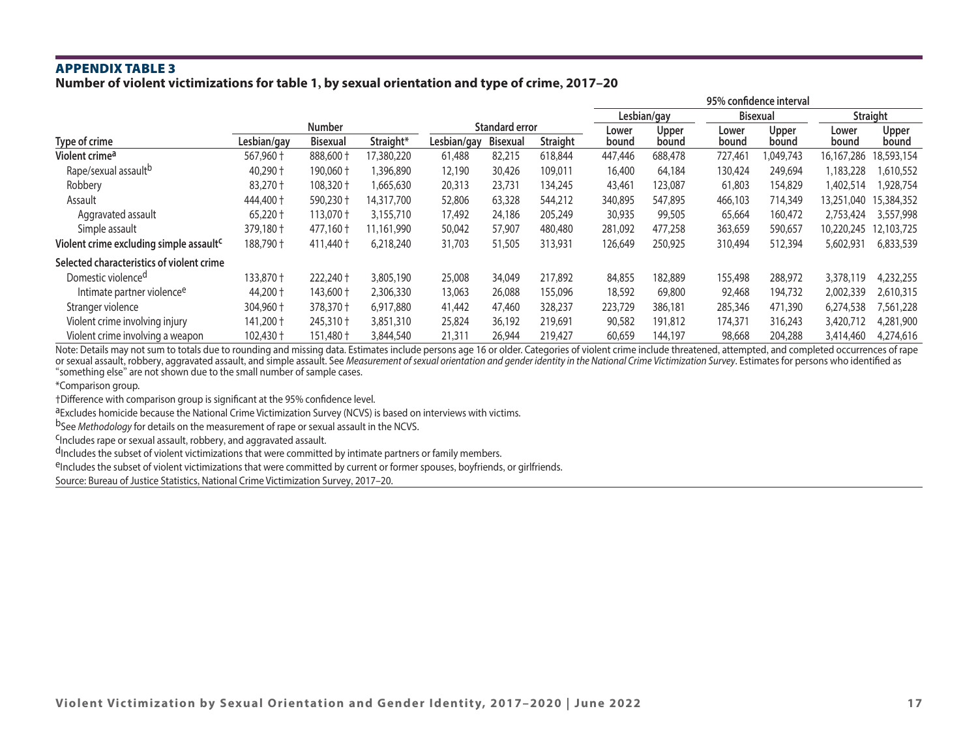#### **Number of violent victimizations for table 1, by sexual orientation and type of crime, 2017–20**

|                                                     |             |                 |            |             |                       |                 | 95% confidence interval |             |         |                 |              |            |
|-----------------------------------------------------|-------------|-----------------|------------|-------------|-----------------------|-----------------|-------------------------|-------------|---------|-----------------|--------------|------------|
|                                                     |             |                 |            |             |                       |                 |                         | Lesbian/gay |         | <b>Bisexual</b> |              | Straight   |
|                                                     |             | <b>Number</b>   |            |             | <b>Standard error</b> |                 | Lower                   | Upper       | Lower   | Upper           | Lower        | Upper      |
| Type of crime                                       | Lesbian/gay | <b>Bisexual</b> | Straight*  | Lesbian/gay | <b>Bisexual</b>       | <b>Straight</b> | bound                   | bound       | bound   | bound           | bound        | bound      |
| Violent crime <sup>a</sup>                          | 567,960 +   | 888,600 +       | 17,380,220 | 61,488      | 82,215                | 618,844         | 447,446                 | 688,478     | 727,461 | 1,049,743       | 16, 167, 286 | 18,593,154 |
| Rape/sexual assault <sup>b</sup>                    | 40,290 +    | 190,060 +       | 1,396,890  | 12,190      | 30,426                | 109,011         | 16,400                  | 64,184      | 130,424 | 249,694         | 1,183,228    | 1,610,552  |
| Robbery                                             | 83,270 t    | 108,320 +       | 1,665,630  | 20,313      | 23,731                | 134,245         | 43,461                  | 123,087     | 61,803  | 154,829         | 1.402.514    | 1,928,754  |
| Assault                                             | 444,400 +   | 590,230 +       | 14,317,700 | 52,806      | 63,328                | 544,212         | 340,895                 | 547,895     | 466,103 | 714,349         | 13.251.040   | 15,384,352 |
| Aggravated assault                                  | $65,220$ †  | $113,070 +$     | 3,155,710  | 17,492      | 24,186                | 205,249         | 30,935                  | 99,505      | 65,664  | 160,472         | 2,753,424    | 3,557,998  |
| Simple assault                                      | 379,180 +   | 477,160 +       | 11,161,990 | 50,042      | 57,907                | 480,480         | 281,092                 | 477,258     | 363,659 | 590,657         | 10,220,245   | 12,103,725 |
| Violent crime excluding simple assault <sup>c</sup> | 188,790 +   | 411,440 +       | 6,218,240  | 31,703      | 51,505                | 313,931         | 126,649                 | 250,925     | 310,494 | 512,394         | 5,602,931    | 6,833,539  |
| Selected characteristics of violent crime           |             |                 |            |             |                       |                 |                         |             |         |                 |              |            |
| Domestic violence <sup>d</sup>                      | 133,870 +   | 222,240 +       | 3,805,190  | 25,008      | 34,049                | 217,892         | 84,855                  | 182,889     | 155,498 | 288,972         | 3,378,119    | 4,232,255  |
| Intimate partner violence <sup>e</sup>              | 44,200 +    | 143,600 +       | 2,306,330  | 13,063      | 26,088                | 155,096         | 18,592                  | 69,800      | 92,468  | 194,732         | 2,002,339    | 2,610,315  |
| Stranger violence                                   | 304,960 +   | 378,370 +       | 6,917,880  | 41,442      | 47,460                | 328,237         | 223,729                 | 386,181     | 285,346 | 471,390         | 6,274,538    | 7,561,228  |
| Violent crime involving injury                      | 141,200 +   | 245,310 +       | 3,851,310  | 25,824      | 36,192                | 219,691         | 90,582                  | 191,812     | 174,371 | 316,243         | 3,420,712    | 4,281,900  |
| Violent crime involving a weapon                    | $102,430 +$ | 151,480 +       | 3,844,540  | 21,311      | 26,944                | 219,427         | 60,659                  | 144,197     | 98,668  | 204,288         | 3,414,460    | 4,274,616  |

Note: Details may not sum to totals due to rounding and missing data. Estimates include persons age 16 or older. Categories of violent crime include threatened, attempted, and completed occurrences of rape or sexual assault, robbery, aggravated assault, and simple assault. See *Measurement of sexual orientation and gender identity in the National Crime Victimization Survey*. Estimates for persons who identified as "something else" are not shown due to the small number of sample cases.

\*Comparison group.

†Difference with comparison group is significant at the 95% confidence level.

aExcludes homicide because the National Crime Victimization Survey (NCVS) is based on interviews with victims.

bSee *Methodology* for details on the measurement of rape or sexual assault in the NCVS.

cIncludes rape or sexual assault, robbery, and aggravated assault.

d<sub>Includes</sub> the subset of violent victimizations that were committed by intimate partners or family members.

eIncludes the subset of violent victimizations that were committed by current or former spouses, boyfriends, or girlfriends.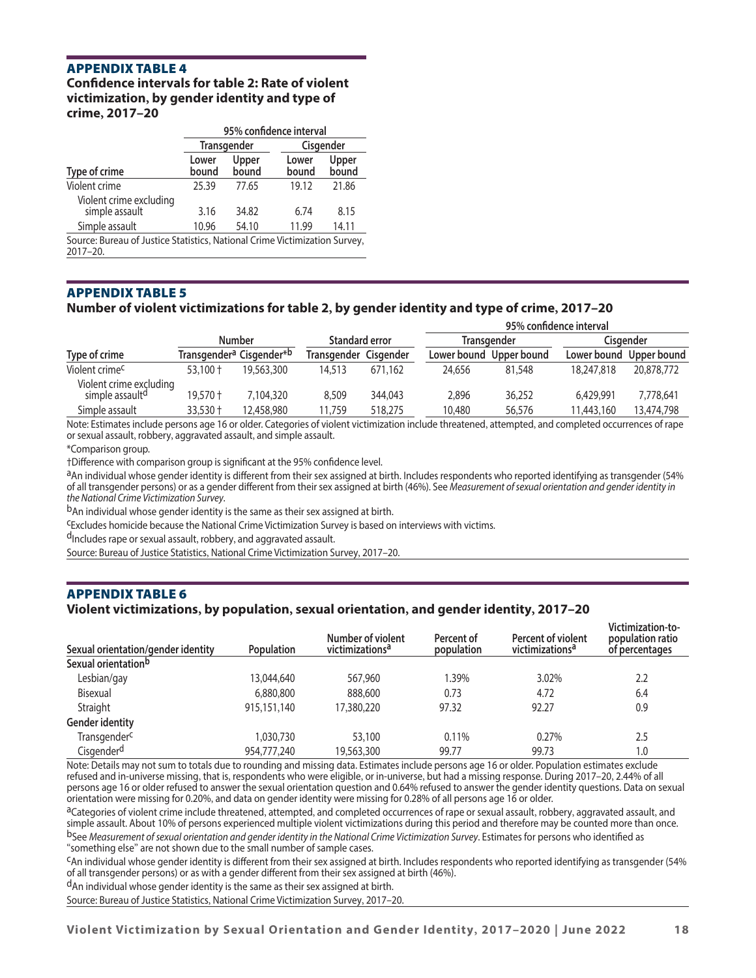**Confidence intervals for table 2: Rate of violent victimization, by gender identity and type of crime, 2017–20**

|                                                                                            | 95% confidence interval |                    |                |                |  |  |  |  |
|--------------------------------------------------------------------------------------------|-------------------------|--------------------|----------------|----------------|--|--|--|--|
|                                                                                            |                         | <b>Transgender</b> | Cisgender      |                |  |  |  |  |
| Type of crime                                                                              | Lower<br>bound          | Upper<br>bound     | Lower<br>bound | Upper<br>bound |  |  |  |  |
| Violent crime                                                                              | 25.39                   | 77.65              | 19.12          | 21.86          |  |  |  |  |
| Violent crime excluding<br>simple assault                                                  | 3.16                    | 34.82              | 6.74           | 8.15           |  |  |  |  |
| Simple assault                                                                             | 10.96                   | 54.10              | 11.99          | 14.11          |  |  |  |  |
| Source: Bureau of Justice Statistics, National Crime Victimization Survey,<br>$2017 - 20.$ |                         |                    |                |                |  |  |  |  |

#### Appendix Table 5

#### **Number of violent victimizations for table 2, by gender identity and type of crime, 2017–20**

|                                            |                                                  |                |                       |         | 95% confidence interval |                         |            |                         |  |  |  |
|--------------------------------------------|--------------------------------------------------|----------------|-----------------------|---------|-------------------------|-------------------------|------------|-------------------------|--|--|--|
| <b>Number</b>                              |                                                  | Standard error |                       |         | <b>Transgender</b>      | Cisaender               |            |                         |  |  |  |
| Type of crime                              | Transgender <sup>a</sup> Cisgender* <sup>b</sup> |                | Transgender Cisgender |         |                         | Lower bound Upper bound |            | Lower bound Upper bound |  |  |  |
| Violent crime <sup>c</sup>                 | $53,100 +$                                       | 19,563,300     | 14.513                | 671,162 | 24,656                  | 81,548                  | 18,247,818 | 20,878,772              |  |  |  |
| Violent crime excluding<br>simple assaultd | 19,570 +                                         | 7,104,320      | 8,509                 | 344,043 | 2,896                   | 36,252                  | 6,429,991  | 7,778,641               |  |  |  |
| Simple assault                             | 33,530 +                                         | 12,458,980     | 11.759                | 518,275 | 10,480                  | 56,576                  | 11,443,160 | 13,474,798              |  |  |  |

Note: Estimates include persons age 16 or older. Categories of violent victimization include threatened, attempted, and completed occurrences of rape or sexual assault, robbery, aggravated assault, and simple assault.

\*Comparison group.

†Difference with comparison group is significant at the 95% confidence level.

aAn individual whose gender identity is different from their sex assigned at birth. Includes respondents who reported identifying as transgender (54%) of all transgender persons) or as a gender different from their sex assigned at birth (46%). See *Measurement of sexual orientation and gender identity in* 

*the National Crime Victimization Survey*. bAn individual whose gender identity is the same as their sex assigned at birth.

cExcludes homicide because the National Crime Victimization Survey is based on interviews with victims.

<sup>d</sup>Includes rape or sexual assault, robbery, and aggravated assault.

Source: Bureau of Justice Statistics, National Crime Victimization Survey, 2017–20.

#### Appendix Table 6

#### **Violent victimizations, by population, sexual orientation, and gender identity, 2017–20**

| Number of violent<br>Percent of violent<br>Percent of<br>victimizations <sup>a</sup><br>victimizations <sup>a</sup><br>Sexual orientation/gender identity<br><b>Population</b><br>population | population ratio<br>of percentages |
|----------------------------------------------------------------------------------------------------------------------------------------------------------------------------------------------|------------------------------------|
| Sexual orientation <sup>b</sup>                                                                                                                                                              |                                    |
| Lesbian/gay<br>1.39%<br>3.02%<br>13,044,640<br>567,960                                                                                                                                       | 2.2                                |
| Bisexual<br>6,880,800<br>888,600<br>4.72<br>0.73                                                                                                                                             | 6.4                                |
| Straight<br>97.32<br>92.27<br>915,151,140<br>17,380,220                                                                                                                                      | 0.9                                |
| <b>Gender identity</b>                                                                                                                                                                       |                                    |
| Transgender <sup>c</sup><br>0.27%<br>$0.11\%$<br>1,030,730<br>53,100                                                                                                                         | 2.5                                |
| Cisgender <sup>d</sup><br>19,563,300<br>99.77<br>99.73<br>954,777,240                                                                                                                        | 1.0                                |

Note: Details may not sum to totals due to rounding and missing data. Estimates include persons age 16 or older. Population estimates exclude refused and in-universe missing, that is, respondents who were eligible, or in-universe, but had a missing response. During 2017–20, 2.44% of all persons age 16 or older refused to answer the sexual orientation question and 0.64% refused to answer the gender identity questions. Data on sexual orientation were missing for 0.20%, and data on gender identity were missi

aCategories of violent crime include threatened, attempted, and completed occurrences of rape or sexual assault, robbery, aggravated assault, and simple assault. About 10% of persons experienced multiple violent victimizations during this period and therefore may be counted more than once. b<sub>See</sub> Measurement of sexual orientation and gender identity in the National Crime Victimization Survey. Estimates for persons who identified as<br>"something else" are not shown due to the small number of sample cases.

<sup>C</sup>An individual whose gender identity is different from their sex assigned at birth. Includes respondents who reported identifying as transgender (54% of all transgender persons) or as with a gender different from their sex assigned at birth (46%).

d<sub>An</sub> individual whose gender identity is the same as their sex assigned at birth.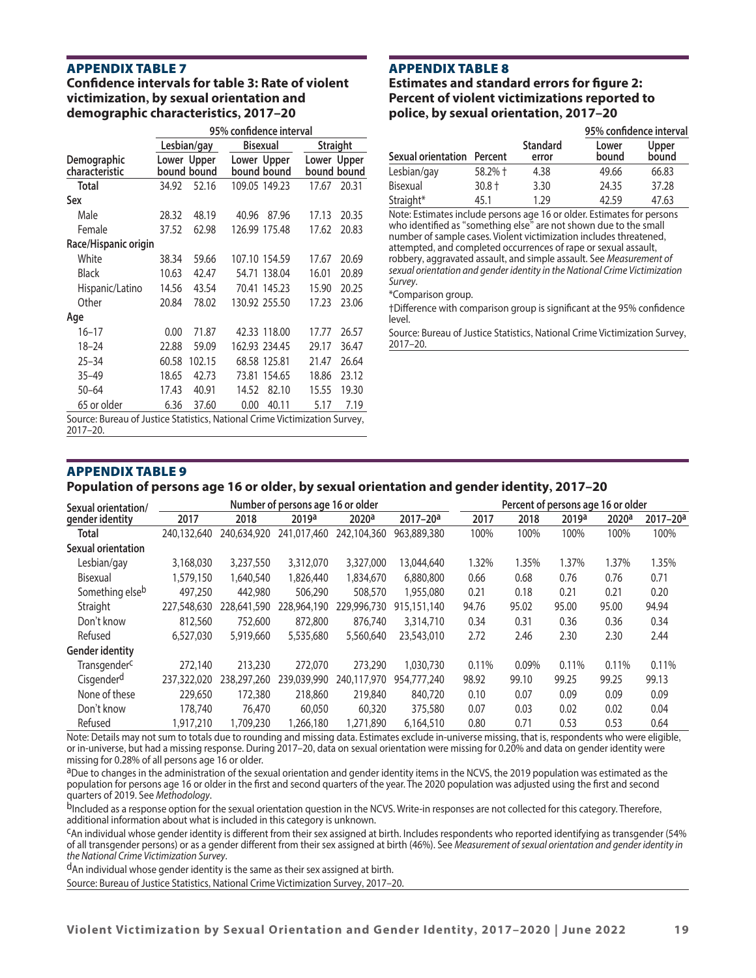**Confidence intervals for table 3: Rate of violent victimization, by sexual orientation and demographic characteristics, 2017–20**

|                                                                            | 95% confidence interval |                                |       |                            |       |                            |  |  |  |
|----------------------------------------------------------------------------|-------------------------|--------------------------------|-------|----------------------------|-------|----------------------------|--|--|--|
|                                                                            |                         | <b>Bisexual</b><br>Lesbian/gay |       |                            |       | <b>Straight</b>            |  |  |  |
| Demographic<br>characteristic                                              |                         | Lower Upper<br>bound bound     |       | Lower Upper<br>bound bound |       | Lower Upper<br>bound bound |  |  |  |
| <b>Total</b>                                                               | 34.92                   | 52.16                          |       | 109.05 149.23              | 17.67 | 20.31                      |  |  |  |
| Sex                                                                        |                         |                                |       |                            |       |                            |  |  |  |
| Male                                                                       | 28.32                   | 48.19                          | 40.96 | 87.96                      | 17.13 | 20.35                      |  |  |  |
| Female                                                                     | 37.52                   | 62.98                          |       | 126.99 175.48              | 17.62 | 20.83                      |  |  |  |
| Race/Hispanic origin                                                       |                         |                                |       |                            |       |                            |  |  |  |
| White                                                                      | 38.34                   | 59.66                          |       | 107.10 154.59              | 17.67 | 20.69                      |  |  |  |
| <b>Black</b>                                                               | 10.63                   | 42.47                          |       | 54.71 138.04               | 16.01 | 20.89                      |  |  |  |
| Hispanic/Latino                                                            | 14.56                   | 43.54                          |       | 70.41 145.23               | 15.90 | 20.25                      |  |  |  |
| Other                                                                      | 20.84                   | 78.02                          |       | 130.92 255.50              | 17.23 | 23.06                      |  |  |  |
| Age                                                                        |                         |                                |       |                            |       |                            |  |  |  |
| $16 - 17$                                                                  | 0.00                    | 71.87                          |       | 42.33 118.00               | 17.77 | 26.57                      |  |  |  |
| $18 - 24$                                                                  | 22.88                   | 59.09                          |       | 162.93 234.45              | 29.17 | 36.47                      |  |  |  |
| $25 - 34$                                                                  | 60.58                   | 102.15                         |       | 68.58 125.81               | 21.47 | 26.64                      |  |  |  |
| $35 - 49$                                                                  | 18.65                   | 42.73                          | 73.81 | 154.65                     | 18.86 | 23.12                      |  |  |  |
| $50 - 64$                                                                  | 17.43                   | 40.91                          | 14.52 | 82.10                      | 15.55 | 19.30                      |  |  |  |
| 65 or older                                                                | 6.36                    | 37.60                          | 0.00  | 40.11                      | 5.17  | 7.19                       |  |  |  |
| Source: Bureau of Justice Statistics, National Crime Victimization Survey, |                         |                                |       |                            |       |                            |  |  |  |

#### Appendix Table 8

#### **Estimates and standard errors for figure 2: Percent of violent victimizations reported to police, by sexual orientation, 2017–20**

|                            |           |                          | 95% confidence interval |                |  |  |  |
|----------------------------|-----------|--------------------------|-------------------------|----------------|--|--|--|
| Sexual orientation Percent |           | <b>Standard</b><br>error | Lower<br>bound          | Upper<br>bound |  |  |  |
| Lesbian/gay                | $58.2%$ † | 4.38                     | 49.66                   | 66.83          |  |  |  |
| Bisexual                   | $30.8 +$  | 3.30                     | 24.35                   | 37.28          |  |  |  |
| Straight*                  | 45.1      | 1.29                     | 42.59                   | 47.63          |  |  |  |

Note: Estimates include persons age 16 or older. Estimates for persons who identified as "something else" are not shown due to the small number of sample cases. Violent victimization includes threatened, attempted, and completed occurrences of rape or sexual assault, robbery, aggravated assault, and simple assault. See *Measurement of sexual orientation and gender identity in the National Crime Victimization Survey*.

\*Comparison group.

†Difference with comparison group is significant at the 95% confidence level.

Source: Bureau of Justice Statistics, National Crime Victimization Survey, 2017–20.

## Appendix Table 9

2017–20.

#### **Population of persons age 16 or older, by sexual orientation and gender identity, 2017–20**

| Sexual orientation/         | Number of persons age 16 or older |             |             |                   |              |       | Percent of persons age 16 or older |       |                   |              |  |
|-----------------------------|-----------------------------------|-------------|-------------|-------------------|--------------|-------|------------------------------------|-------|-------------------|--------------|--|
| gender identity             | 2017                              | 2018        | 2019a       | 2020 <sup>a</sup> | $2017 - 20a$ | 2017  | 2018                               | 2019a | 2020 <sup>a</sup> | $2017 - 20a$ |  |
| <b>Total</b>                | 240,132,640                       | 240.634.920 | 241,017,460 | 242,104,360       | 963,889,380  | 100%  | 100%                               | 100%  | 100%              | 100%         |  |
| Sexual orientation          |                                   |             |             |                   |              |       |                                    |       |                   |              |  |
| Lesbian/gay                 | 3,168,030                         | 3,237,550   | 3,312,070   | 3,327,000         | 13,044,640   | 1.32% | 1.35%                              | 1.37% | 1.37%             | 1.35%        |  |
| Bisexual                    | 1,579,150                         | 1,640,540   | 1,826,440   | 1,834,670         | 6,880,800    | 0.66  | 0.68                               | 0.76  | 0.76              | 0.71         |  |
| Something else <sup>b</sup> | 497,250                           | 442,980     | 506,290     | 508,570           | 1,955,080    | 0.21  | 0.18                               | 0.21  | 0.21              | 0.20         |  |
| Straight                    | 227,548,630                       | 228,641,590 | 228,964,190 | 229,996,730       | 915,151,140  | 94.76 | 95.02                              | 95.00 | 95.00             | 94.94        |  |
| Don't know                  | 812,560                           | 752,600     | 872,800     | 876,740           | 3,314,710    | 0.34  | 0.31                               | 0.36  | 0.36              | 0.34         |  |
| Refused                     | 6,527,030                         | 5,919,660   | 5,535,680   | 5,560,640         | 23,543,010   | 2.72  | 2.46                               | 2.30  | 2.30              | 2.44         |  |
| <b>Gender identity</b>      |                                   |             |             |                   |              |       |                                    |       |                   |              |  |
| Transgender <sup>c</sup>    | 272,140                           | 213,230     | 272,070     | 273,290           | 1,030,730    | 0.11% | 0.09%                              | 0.11% | 0.11%             | 0.11%        |  |
| Cisgender <sup>d</sup>      | 237,322,020                       | 238,297,260 | 239,039,990 | 240.117.970       | 954,777,240  | 98.92 | 99.10                              | 99.25 | 99.25             | 99.13        |  |
| None of these               | 229,650                           | 172,380     | 218,860     | 219,840           | 840,720      | 0.10  | 0.07                               | 0.09  | 0.09              | 0.09         |  |
| Don't know                  | 178,740                           | 76,470      | 60,050      | 60,320            | 375,580      | 0.07  | 0.03                               | 0.02  | 0.02              | 0.04         |  |
| Refused                     | 1,917,210                         | 1,709,230   | 1,266,180   | 1,271,890         | 6,164,510    | 0.80  | 0.71                               | 0.53  | 0.53              | 0.64         |  |

Note: Details may not sum to totals due to rounding and missing data. Estimates exclude in-universe missing, that is, respondents who were eligible, or in-universe, but had a missing response. During 2017–20, data on sexual orientation were missing for 0.20% and data on gender identity were missing for 0.28% of all persons age 16 or older.

aDue to changes in the administration of the sexual orientation and gender identity items in the NCVS, the 2019 population was estimated as the population for persons age 16 or older in the first and second quarters of the year. The 2020 population was adjusted using the first and second quarters of 2019. See Methodology.

<sup>b</sup>Included as a response option for the sexual orientation question in the NCVS. Write-in responses are not collected for this category. Therefore, additional information about what is included in this category is unknown.

<sup>C</sup>An individual whose gender identity is different from their sex assigned at birth. Includes respondents who reported identifying as transgender (54% of all transgender persons) or as a gender different from their sex assigned at birth (46%). See *Measurement of sexual orientation and gender identity in* 

*the National Crime Victimization Survey*. dAn individual whose gender identity is the same as their sex assigned at birth.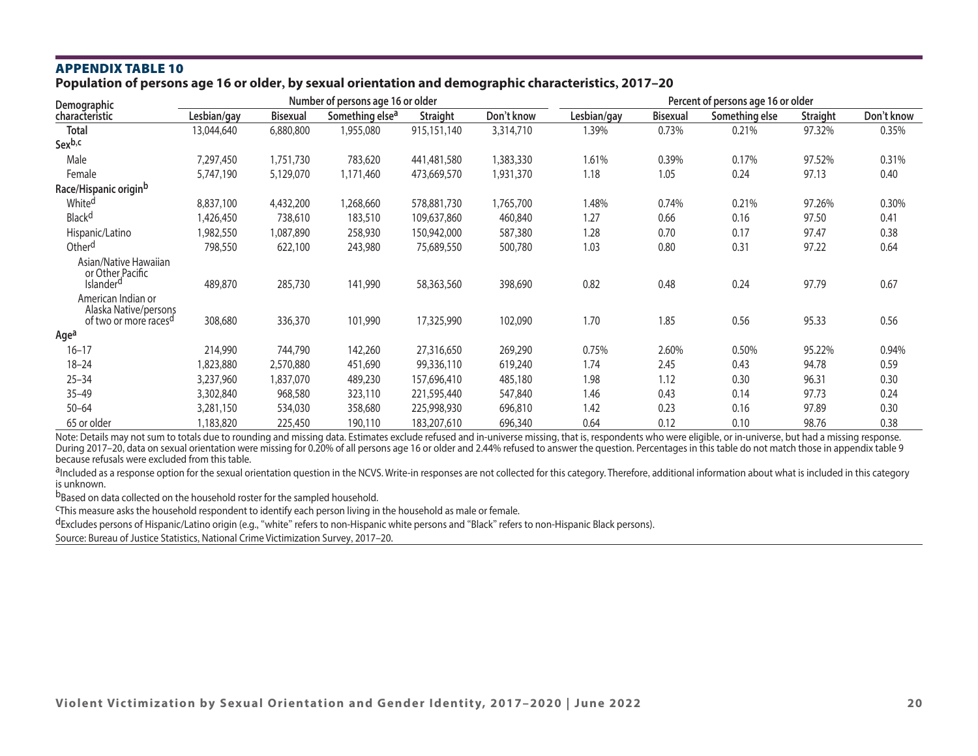#### **Population of persons age 16 or older, by sexual orientation and demographic characteristics, 2017–20**

| Demographic                                                                      |             |                 | Number of persons age 16 or older |             |            | Percent of persons age 16 or older |                 |                |          |            |
|----------------------------------------------------------------------------------|-------------|-----------------|-----------------------------------|-------------|------------|------------------------------------|-----------------|----------------|----------|------------|
| characteristic                                                                   | Lesbian/gay | <b>Bisexual</b> | Something else <sup>a</sup>       | Straight    | Don't know | Lesbian/gay                        | <b>Bisexual</b> | Something else | Straight | Don't know |
| <b>Total</b>                                                                     | 13,044,640  | 6,880,800       | 1,955,080                         | 915,151,140 | 3,314,710  | 1.39%                              | 0.73%           | 0.21%          | 97.32%   | 0.35%      |
| Sexb,c                                                                           |             |                 |                                   |             |            |                                    |                 |                |          |            |
| Male                                                                             | 7,297,450   | 1,751,730       | 783,620                           | 441,481,580 | 1,383,330  | 1.61%                              | 0.39%           | 0.17%          | 97.52%   | 0.31%      |
| Female                                                                           | 5,747,190   | 5,129,070       | 1,171,460                         | 473,669,570 | 1,931,370  | 1.18                               | 1.05            | 0.24           | 97.13    | 0.40       |
| Race/Hispanic originb                                                            |             |                 |                                   |             |            |                                    |                 |                |          |            |
| Whited                                                                           | 8,837,100   | 4,432,200       | 1,268,660                         | 578,881,730 | 1,765,700  | 1.48%                              | 0.74%           | 0.21%          | 97.26%   | 0.30%      |
| <b>Black<sup>d</sup></b>                                                         | ,426,450    | 738,610         | 183,510                           | 109,637,860 | 460,840    | 1.27                               | 0.66            | 0.16           | 97.50    | 0.41       |
| Hispanic/Latino                                                                  | ,982,550    | 1,087,890       | 258,930                           | 150,942,000 | 587,380    | 1.28                               | 0.70            | 0.17           | 97.47    | 0.38       |
| Other <sup>d</sup>                                                               | 798,550     | 622,100         | 243,980                           | 75,689,550  | 500,780    | 1.03                               | 0.80            | 0.31           | 97.22    | 0.64       |
| Asian/Native Hawaiian<br>or Other Pacific<br><b>Islander<sup>d</sup></b>         | 489,870     | 285,730         | 141,990                           | 58,363,560  | 398,690    | 0.82                               | 0.48            | 0.24           | 97.79    | 0.67       |
| American Indian or<br>Alaska Native/persons<br>of two or more races <sup>a</sup> | 308,680     | 336,370         | 101,990                           | 17,325,990  | 102,090    | 1.70                               | 1.85            | 0.56           | 95.33    | 0.56       |
| Age <sup>a</sup>                                                                 |             |                 |                                   |             |            |                                    |                 |                |          |            |
| $16 - 17$                                                                        | 214,990     | 744,790         | 142,260                           | 27,316,650  | 269,290    | 0.75%                              | 2.60%           | 0.50%          | 95.22%   | 0.94%      |
| $18 - 24$                                                                        | 1,823,880   | 2,570,880       | 451,690                           | 99,336,110  | 619,240    | 1.74                               | 2.45            | 0.43           | 94.78    | 0.59       |
| $25 - 34$                                                                        | 3,237,960   | 1,837,070       | 489,230                           | 157,696,410 | 485,180    | 1.98                               | 1.12            | 0.30           | 96.31    | 0.30       |
| $35 - 49$                                                                        | 3,302,840   | 968,580         | 323,110                           | 221,595,440 | 547,840    | 1.46                               | 0.43            | 0.14           | 97.73    | 0.24       |
| $50 - 64$                                                                        | 3,281,150   | 534,030         | 358,680                           | 225,998,930 | 696,810    | 1.42                               | 0.23            | 0.16           | 97.89    | 0.30       |
| 65 or older                                                                      | 1,183,820   | 225,450         | 190,110                           | 183,207,610 | 696,340    | 0.64                               | 0.12            | 0.10           | 98.76    | 0.38       |

Note: Details may not sum to totals due to rounding and missing data. Estimates exclude refused and in-universe missing, that is, respondents who were eligible, or in-universe, but had a missing response. During 2017–20, data on sexual orientation were missing for 0.20% of all persons age 16 or older and 2.44% refused to answer the question. Percentages in this table do not match those in appendix table 9 because refusals were excluded from this table.

aIncluded as a response option for the sexual orientation question in the NCVS. Write-in responses are not collected for this category. Therefore, additional information about what is included in this category is unknown.

b<sub>Based</sub> on data collected on the household roster for the sampled household.

cThis measure asks the household respondent to identify each person living in the household as male or female.

dExcludes persons of Hispanic/Latino origin (e.g., "white" refers to non-Hispanic white persons and "Black" refers to non-Hispanic Black persons).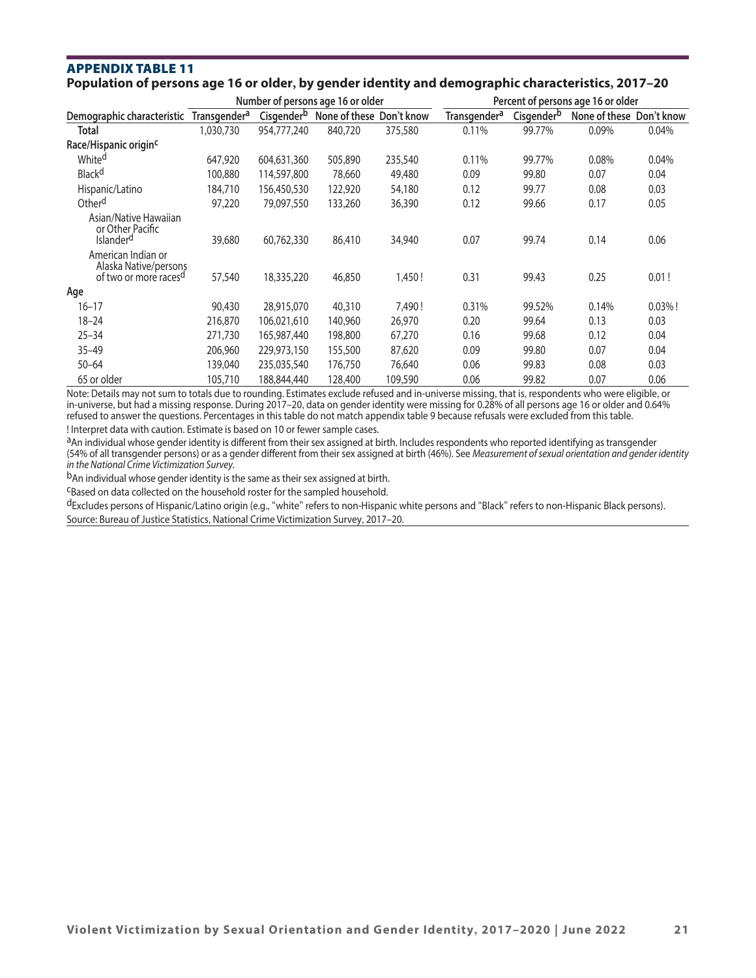#### Appendix Table 11 **Population of persons age 16 or older, by gender identity and demographic characteristics, 2017–20**

|                                                                                  |                          |                        | Number of persons age 16 or older |         | Percent of persons age 16 or older |                   |                          |            |  |
|----------------------------------------------------------------------------------|--------------------------|------------------------|-----------------------------------|---------|------------------------------------|-------------------|--------------------------|------------|--|
| Demographic characteristic                                                       | Transgender <sup>a</sup> | Cisgender <sup>b</sup> | None of these Don't know          |         | <b>Transgender<sup>a</sup></b>     | <b>Cisgenderb</b> | None of these Don't know |            |  |
| <b>Total</b>                                                                     | 1,030,730                | 954,777,240            | 840,720                           | 375,580 | 0.11%                              | 99.77%            | 0.09%                    | 0.04%      |  |
| Race/Hispanic origin <sup>c</sup>                                                |                          |                        |                                   |         |                                    |                   |                          |            |  |
| White <sup>d</sup>                                                               | 647,920                  | 604,631,360            | 505,890                           | 235,540 | 0.11%                              | 99.77%            | 0.08%                    | 0.04%      |  |
| Black <sup>d</sup>                                                               | 100,880                  | 114,597,800            | 78,660                            | 49,480  | 0.09                               | 99.80             | 0.07                     | 0.04       |  |
| Hispanic/Latino                                                                  | 184.710                  | 156,450,530            | 122,920                           | 54,180  | 0.12                               | 99.77             | 0.08                     | 0.03       |  |
| Other <sup>d</sup>                                                               | 97,220                   | 79,097,550             | 133,260                           | 36,390  | 0.12                               | 99.66             | 0.17                     | 0.05       |  |
| Asian/Native Hawaiian<br>or Other Pacific<br><b>Islander<sup>d</sup></b>         | 39,680                   | 60,762,330             | 86,410                            | 34,940  | 0.07                               | 99.74             | 0.14                     | 0.06       |  |
| American Indian or<br>Alaska Native/persons<br>of two or more races <sup>a</sup> | 57,540                   | 18,335,220             | 46,850                            | 1,450!  | 0.31                               | 99.43             | 0.25                     | 0.01!      |  |
| Age                                                                              |                          |                        |                                   |         |                                    |                   |                          |            |  |
| $16 - 17$                                                                        | 90,430                   | 28,915,070             | 40,310                            | 7,490!  | 0.31%                              | 99.52%            | 0.14%                    | $0.03\%$ ! |  |
| $18 - 24$                                                                        | 216,870                  | 106,021,610            | 140,960                           | 26,970  | 0.20                               | 99.64             | 0.13                     | 0.03       |  |
| $25 - 34$                                                                        | 271,730                  | 165,987,440            | 198,800                           | 67,270  | 0.16                               | 99.68             | 0.12                     | 0.04       |  |
| $35 - 49$                                                                        | 206,960                  | 229,973,150            | 155,500                           | 87,620  | 0.09                               | 99.80             | 0.07                     | 0.04       |  |
| $50 - 64$                                                                        | 139,040                  | 235,035,540            | 176,750                           | 76,640  | 0.06                               | 99.83             | 0.08                     | 0.03       |  |
| 65 or older                                                                      | 105,710                  | 188,844,440            | 128,400                           | 109,590 | 0.06                               | 99.82             | 0.07                     | 0.06       |  |

Note: Details may not sum to totals due to rounding. Estimates exclude refused and in-universe missing, that is, respondents who were eligible, or in-universe, but had a missing response. During 2017–20, data on gender identity were missing for 0.28% of all persons age 16 or older and 0.64% refused to answer the questions. Percentages in this table do not match appendix table 9 because refusals were excluded from this table. ! Interpret data with caution. Estimate is based on 10 or fewer sample cases.

aAn individual whose gender identity is different from their sex assigned at birth. Includes respondents who reported identifying as transgender (54% of all transgender persons) or as a gender different from their sex assigned at birth (46%). See *Measurement of sexual orientation and gender identity* 

*in the National Crime Victimization Survey.*<br><sup>b</sup>An individual whose gender identity is the same as their sex assigned at birth.

cBased on data collected on the household roster for the sampled household.

dExcludes persons of Hispanic/Latino origin (e.g., "white" refers to non-Hispanic white persons and "Black" refers to non-Hispanic Black persons). Source: Bureau of Justice Statistics, National Crime Victimization Survey, 2017–20.